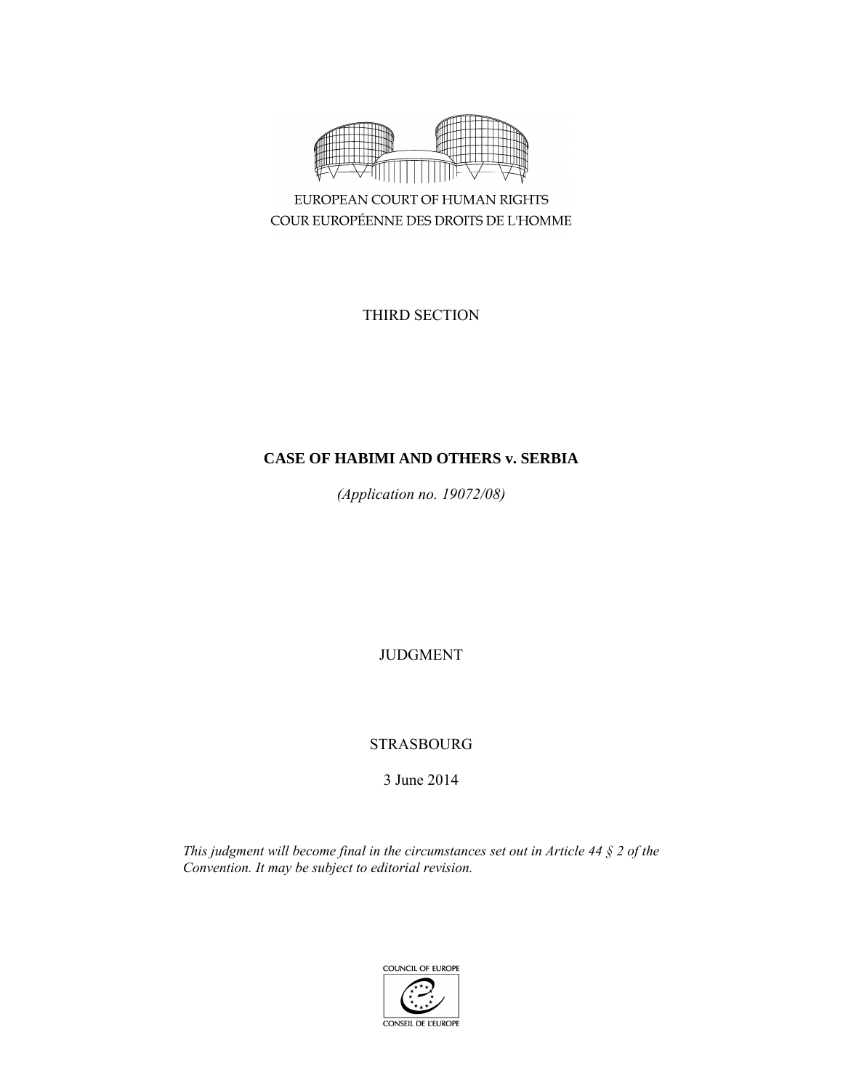

EUROPEAN COURT OF HUMAN RIGHTS COUR EUROPÉENNE DES DROITS DE L'HOMME

THIRD SECTION

# **CASE OF HABIMI AND OTHERS v. SERBIA**

*(Application no. 19072/08)* 

JUDGMENT

STRASBOURG

3 June 2014

*This judgment will become final in the circumstances set out in Article 44 § 2 of the Convention. It may be subject to editorial revision.* 

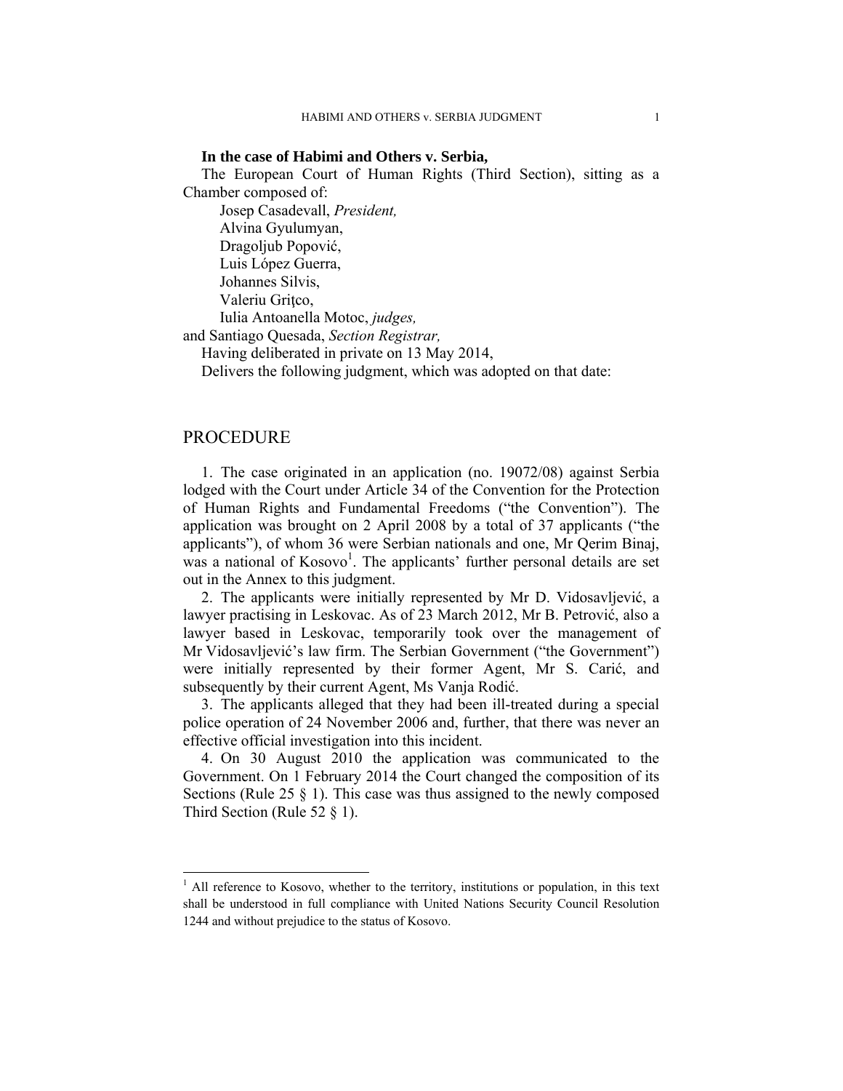#### **In the case of Habimi and Others v. Serbia,**

The European Court of Human Rights (Third Section), sitting as a Chamber composed of:

Josep Casadevall, *President,* 

Alvina Gyulumyan,

Dragoljub Popović,

Luis López Guerra,

 Johannes Silvis, Valeriu Gritco,

 Iulia Antoanella Motoc, *judges,*  and Santiago Quesada, *Section Registrar,*

Having deliberated in private on 13 May 2014,

Delivers the following judgment, which was adopted on that date:

## PROCEDURE

 $\overline{a}$ 

1. The case originated in an application (no. 19072/08) against Serbia lodged with the Court under Article 34 of the Convention for the Protection of Human Rights and Fundamental Freedoms ("the Convention"). The application was brought on 2 April 2008 by a total of 37 applicants ("the applicants"), of whom 36 were Serbian nationals and one, Mr Qerim Binaj, was a national of  $Kosovo<sup>1</sup>$ . The applicants' further personal details are set out in the Annex to this judgment.

2. The applicants were initially represented by Mr D. Vidosavljević, a lawyer practising in Leskovac. As of 23 March 2012, Mr B. Petrović, also a lawyer based in Leskovac, temporarily took over the management of Mr Vidosavljević's law firm. The Serbian Government ("the Government") were initially represented by their former Agent, Mr S. Carić, and subsequently by their current Agent, Ms Vanja Rodić.

3. The applicants alleged that they had been ill-treated during a special police operation of 24 November 2006 and, further, that there was never an effective official investigation into this incident.

4. On 30 August 2010 the application was communicated to the Government. On 1 February 2014 the Court changed the composition of its Sections (Rule 25 § 1). This case was thus assigned to the newly composed Third Section (Rule 52 § 1).

<sup>&</sup>lt;sup>1</sup> All reference to Kosovo, whether to the territory, institutions or population, in this text shall be understood in full compliance with United Nations Security Council Resolution 1244 and without prejudice to the status of Kosovo.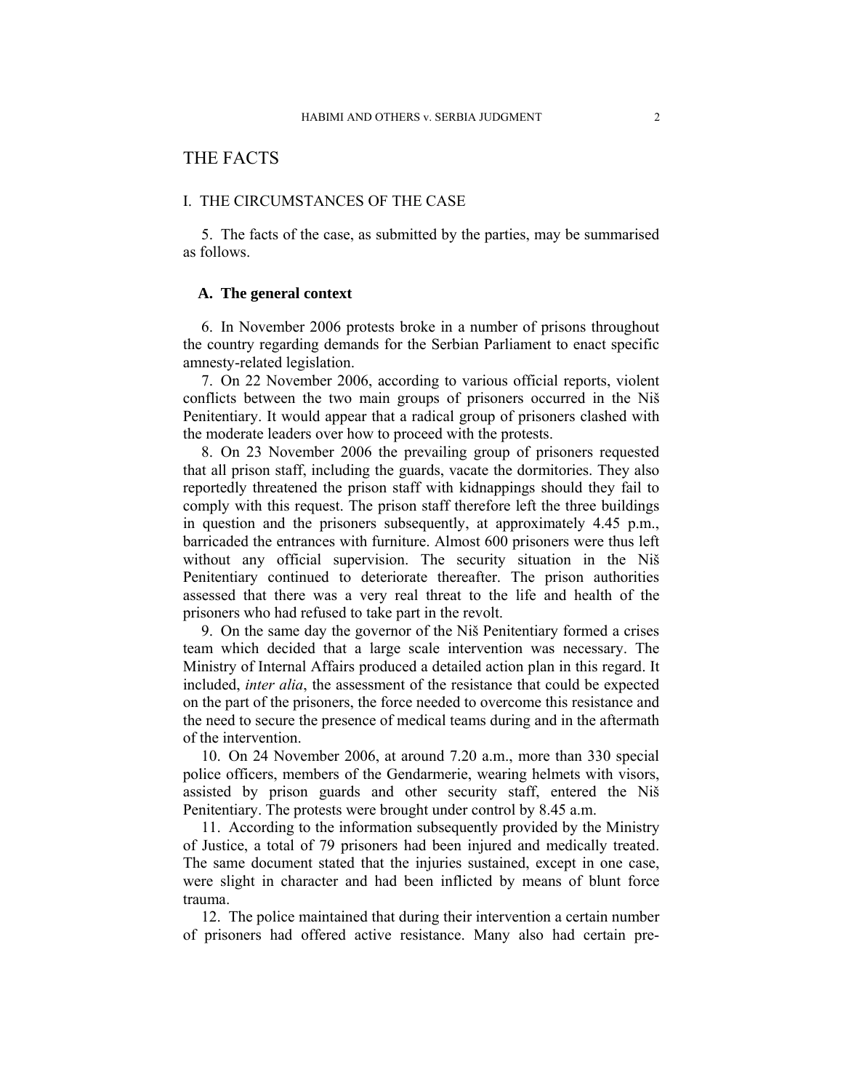# THE FACTS

### I. THE CIRCUMSTANCES OF THE CASE

5. The facts of the case, as submitted by the parties, may be summarised as follows.

## **A. The general context**

6. In November 2006 protests broke in a number of prisons throughout the country regarding demands for the Serbian Parliament to enact specific amnesty-related legislation.

7. On 22 November 2006, according to various official reports, violent conflicts between the two main groups of prisoners occurred in the Niš Penitentiary. It would appear that a radical group of prisoners clashed with the moderate leaders over how to proceed with the protests.

8. On 23 November 2006 the prevailing group of prisoners requested that all prison staff, including the guards, vacate the dormitories. They also reportedly threatened the prison staff with kidnappings should they fail to comply with this request. The prison staff therefore left the three buildings in question and the prisoners subsequently, at approximately 4.45 p.m., barricaded the entrances with furniture. Almost 600 prisoners were thus left without any official supervision. The security situation in the Niš Penitentiary continued to deteriorate thereafter. The prison authorities assessed that there was a very real threat to the life and health of the prisoners who had refused to take part in the revolt.

9. On the same day the governor of the Niš Penitentiary formed a crises team which decided that a large scale intervention was necessary. The Ministry of Internal Affairs produced a detailed action plan in this regard. It included, *inter alia*, the assessment of the resistance that could be expected on the part of the prisoners, the force needed to overcome this resistance and the need to secure the presence of medical teams during and in the aftermath of the intervention.

10. On 24 November 2006, at around 7.20 a.m., more than 330 special police officers, members of the Gendarmerie, wearing helmets with visors, assisted by prison guards and other security staff, entered the Niš Penitentiary. The protests were brought under control by 8.45 a.m.

11. According to the information subsequently provided by the Ministry of Justice, a total of 79 prisoners had been injured and medically treated. The same document stated that the injuries sustained, except in one case, were slight in character and had been inflicted by means of blunt force trauma.

12. The police maintained that during their intervention a certain number of prisoners had offered active resistance. Many also had certain pre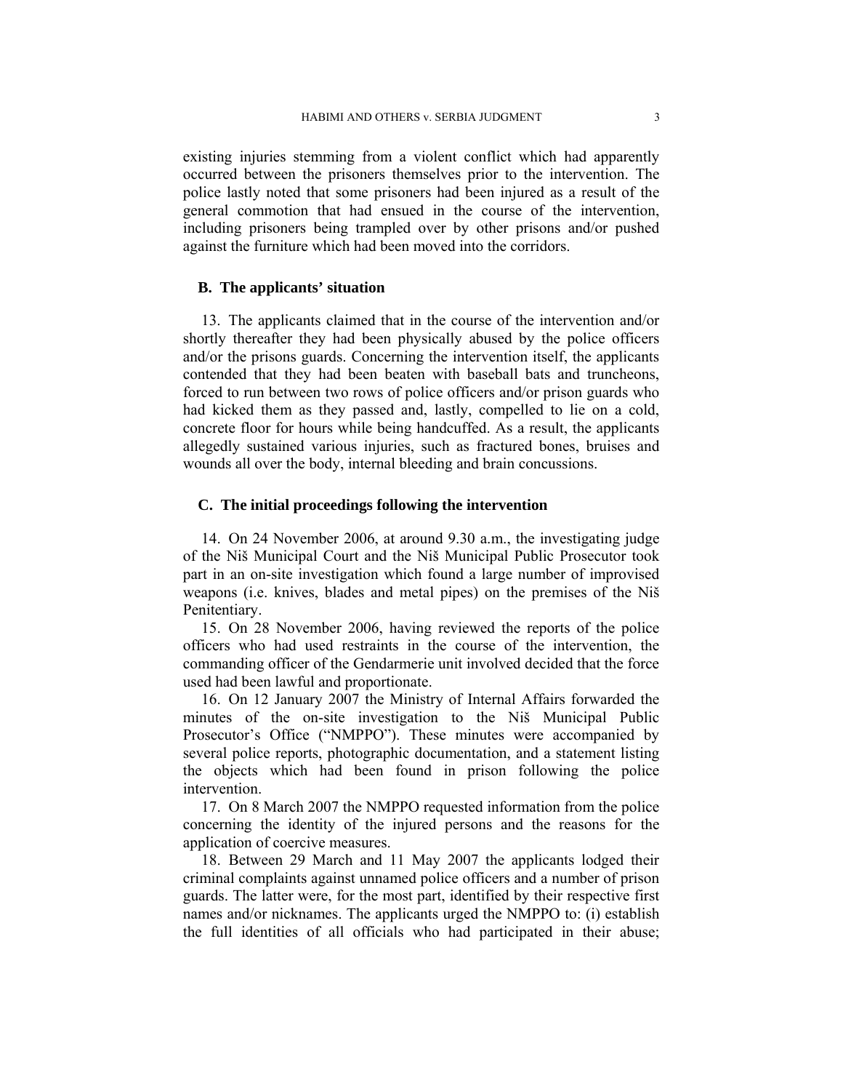existing injuries stemming from a violent conflict which had apparently occurred between the prisoners themselves prior to the intervention. The police lastly noted that some prisoners had been injured as a result of the general commotion that had ensued in the course of the intervention, including prisoners being trampled over by other prisons and/or pushed against the furniture which had been moved into the corridors.

#### **B. The applicants' situation**

13. The applicants claimed that in the course of the intervention and/or shortly thereafter they had been physically abused by the police officers and/or the prisons guards. Concerning the intervention itself, the applicants contended that they had been beaten with baseball bats and truncheons, forced to run between two rows of police officers and/or prison guards who had kicked them as they passed and, lastly, compelled to lie on a cold, concrete floor for hours while being handcuffed. As a result, the applicants allegedly sustained various injuries, such as fractured bones, bruises and wounds all over the body, internal bleeding and brain concussions.

#### **C. The initial proceedings following the intervention**

14. On 24 November 2006, at around 9.30 a.m., the investigating judge of the Niš Municipal Court and the Niš Municipal Public Prosecutor took part in an on-site investigation which found a large number of improvised weapons (i.e. knives, blades and metal pipes) on the premises of the Niš Penitentiary.

15. On 28 November 2006, having reviewed the reports of the police officers who had used restraints in the course of the intervention, the commanding officer of the Gendarmerie unit involved decided that the force used had been lawful and proportionate.

16. On 12 January 2007 the Ministry of Internal Affairs forwarded the minutes of the on-site investigation to the Niš Municipal Public Prosecutor's Office ("NMPPO"). These minutes were accompanied by several police reports, photographic documentation, and a statement listing the objects which had been found in prison following the police intervention.

17. On 8 March 2007 the NMPPO requested information from the police concerning the identity of the injured persons and the reasons for the application of coercive measures.

18. Between 29 March and 11 May 2007 the applicants lodged their criminal complaints against unnamed police officers and a number of prison guards. The latter were, for the most part, identified by their respective first names and/or nicknames. The applicants urged the NMPPO to: (i) establish the full identities of all officials who had participated in their abuse;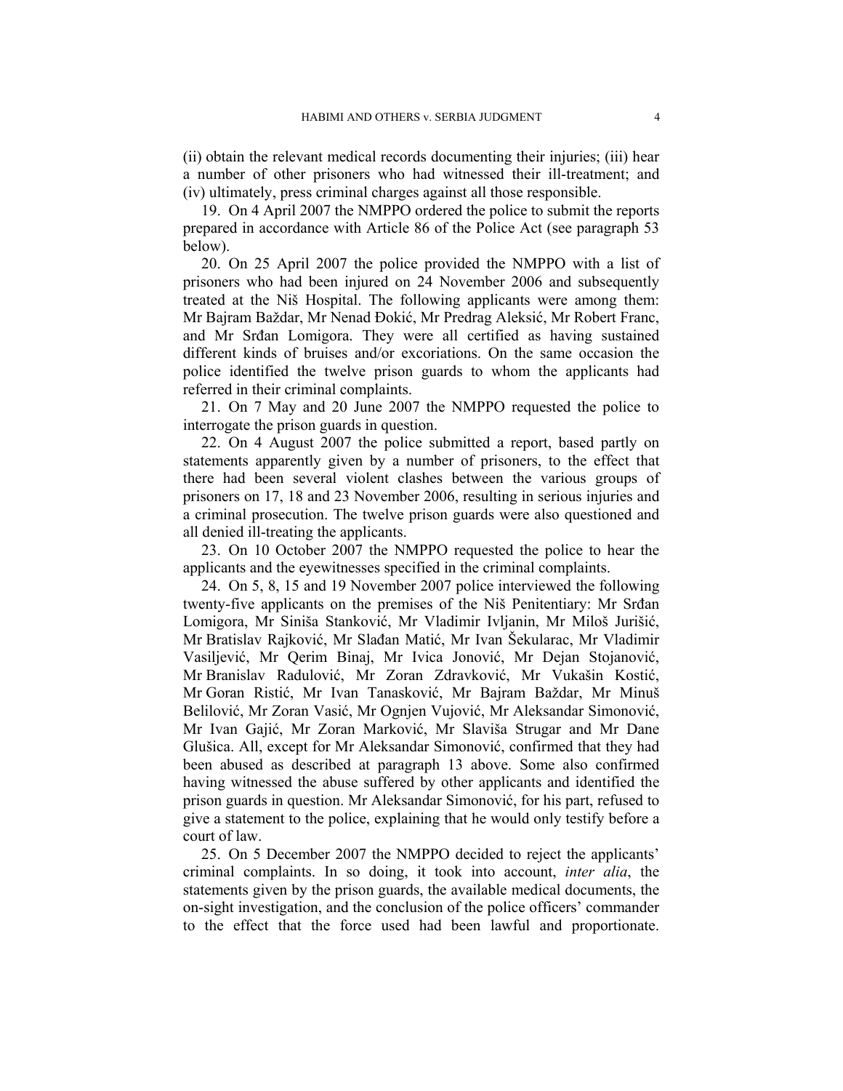(ii) obtain the relevant medical records documenting their injuries; (iii) hear a number of other prisoners who had witnessed their ill-treatment; and (iv) ultimately, press criminal charges against all those responsible.

19. On 4 April 2007 the NMPPO ordered the police to submit the reports prepared in accordance with Article 86 of the Police Act (see paragraph 53 below).

20. On 25 April 2007 the police provided the NMPPO with a list of prisoners who had been injured on 24 November 2006 and subsequently treated at the Niš Hospital. The following applicants were among them: Mr Bajram Baždar, Mr Nenad Đokić, Mr Predrag Aleksić, Mr Robert Franc, and Mr Srđan Lomigora. They were all certified as having sustained different kinds of bruises and/or excoriations. On the same occasion the police identified the twelve prison guards to whom the applicants had referred in their criminal complaints.

21. On 7 May and 20 June 2007 the NMPPO requested the police to interrogate the prison guards in question.

22. On 4 August 2007 the police submitted a report, based partly on statements apparently given by a number of prisoners, to the effect that there had been several violent clashes between the various groups of prisoners on 17, 18 and 23 November 2006, resulting in serious injuries and a criminal prosecution. The twelve prison guards were also questioned and all denied ill-treating the applicants.

23. On 10 October 2007 the NMPPO requested the police to hear the applicants and the eyewitnesses specified in the criminal complaints.

24. On 5, 8, 15 and 19 November 2007 police interviewed the following twenty-five applicants on the premises of the Niš Penitentiary: Mr Srđan Lomigora, Mr Siniša Stanković, Mr Vladimir Ivljanin, Mr Miloš Jurišić, Mr Bratislav Rajković, Mr Slađan Matić, Mr Ivan Šekularac, Mr Vladimir Vasiljević, Mr Qerim Binaj, Mr Ivica Jonović, Mr Dejan Stojanović, Mr Branislav Radulović, Mr Zoran Zdravković, Mr Vukašin Kostić, Mr Goran Ristić, Mr Ivan Tanasković, Mr Bajram Baždar, Mr Minuš Belilović, Mr Zoran Vasić, Mr Ognjen Vujović, Mr Aleksandar Simonović, Mr Ivan Gajić, Mr Zoran Marković, Mr Slaviša Strugar and Mr Dane Glušica. All, except for Mr Aleksandar Simonović, confirmed that they had been abused as described at paragraph 13 above. Some also confirmed having witnessed the abuse suffered by other applicants and identified the prison guards in question. Mr Aleksandar Simonović, for his part, refused to give a statement to the police, explaining that he would only testify before a court of law.

25. On 5 December 2007 the NMPPO decided to reject the applicants' criminal complaints. In so doing, it took into account, *inter alia*, the statements given by the prison guards, the available medical documents, the on-sight investigation, and the conclusion of the police officers' commander to the effect that the force used had been lawful and proportionate.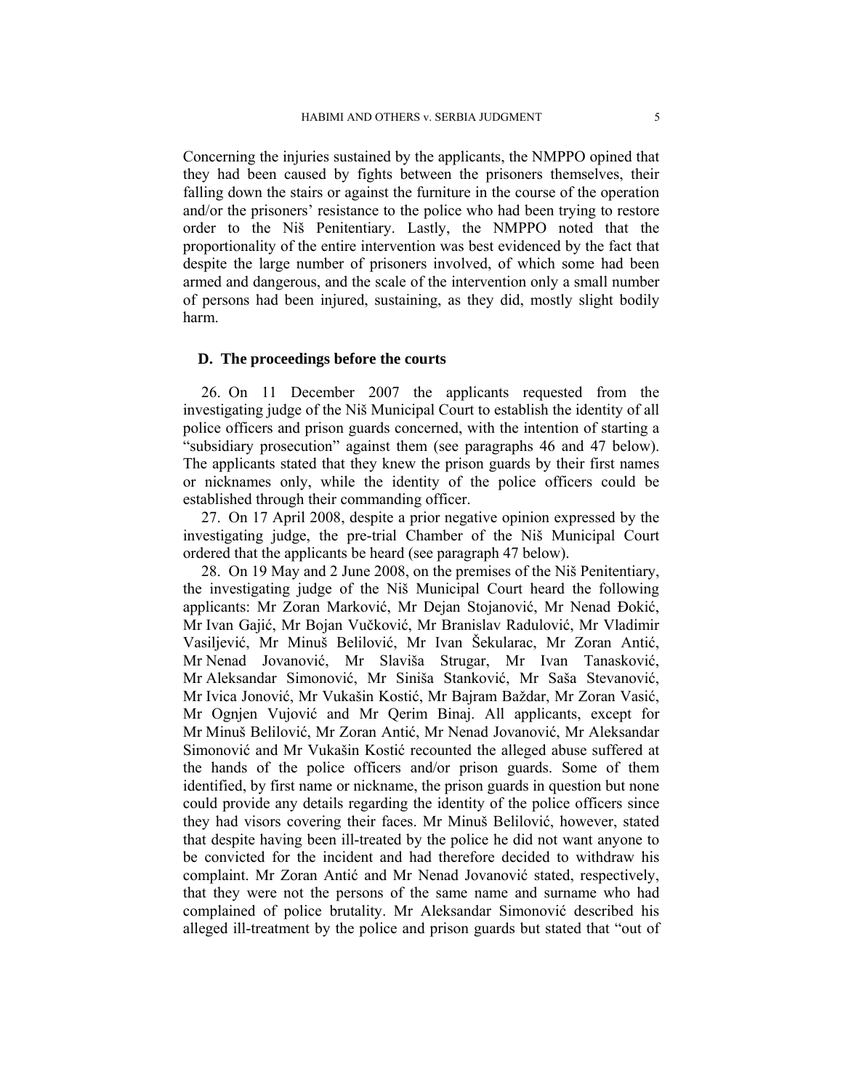Concerning the injuries sustained by the applicants, the NMPPO opined that they had been caused by fights between the prisoners themselves, their falling down the stairs or against the furniture in the course of the operation and/or the prisoners' resistance to the police who had been trying to restore order to the Niš Penitentiary. Lastly, the NMPPO noted that the proportionality of the entire intervention was best evidenced by the fact that despite the large number of prisoners involved, of which some had been armed and dangerous, and the scale of the intervention only a small number of persons had been injured, sustaining, as they did, mostly slight bodily harm.

## **D. The proceedings before the courts**

26. On 11 December 2007 the applicants requested from the investigating judge of the Niš Municipal Court to establish the identity of all police officers and prison guards concerned, with the intention of starting a "subsidiary prosecution" against them (see paragraphs 46 and 47 below). The applicants stated that they knew the prison guards by their first names or nicknames only, while the identity of the police officers could be established through their commanding officer.

27. On 17 April 2008, despite a prior negative opinion expressed by the investigating judge, the pre-trial Chamber of the Niš Municipal Court ordered that the applicants be heard (see paragraph 47 below).

28. On 19 May and 2 June 2008, on the premises of the Niš Penitentiary, the investigating judge of the Niš Municipal Court heard the following applicants: Mr Zoran Marković, Mr Dejan Stojanović, Mr Nenad Đokić, Mr Ivan Gajić, Mr Bojan Vučković, Mr Branislav Radulović, Mr Vladimir Vasiljević, Mr Minuš Belilović, Mr Ivan Šekularac, Mr Zoran Antić, Mr Nenad Jovanović, Mr Slaviša Strugar, Mr Ivan Tanasković, Mr Aleksandar Simonović, Mr Siniša Stanković, Mr Saša Stevanović, Mr Ivica Jonović, Mr Vukašin Kostić, Mr Bajram Baždar, Mr Zoran Vasić, Mr Ognjen Vujović and Mr Qerim Binaj. All applicants, except for Mr Minuš Belilović, Mr Zoran Antić, Mr Nenad Jovanović, Mr Aleksandar Simonović and Mr Vukašin Kostić recounted the alleged abuse suffered at the hands of the police officers and/or prison guards. Some of them identified, by first name or nickname, the prison guards in question but none could provide any details regarding the identity of the police officers since they had visors covering their faces. Mr Minuš Belilović, however, stated that despite having been ill-treated by the police he did not want anyone to be convicted for the incident and had therefore decided to withdraw his complaint. Mr Zoran Antić and Mr Nenad Jovanović stated, respectively, that they were not the persons of the same name and surname who had complained of police brutality. Mr Aleksandar Simonović described his alleged ill-treatment by the police and prison guards but stated that "out of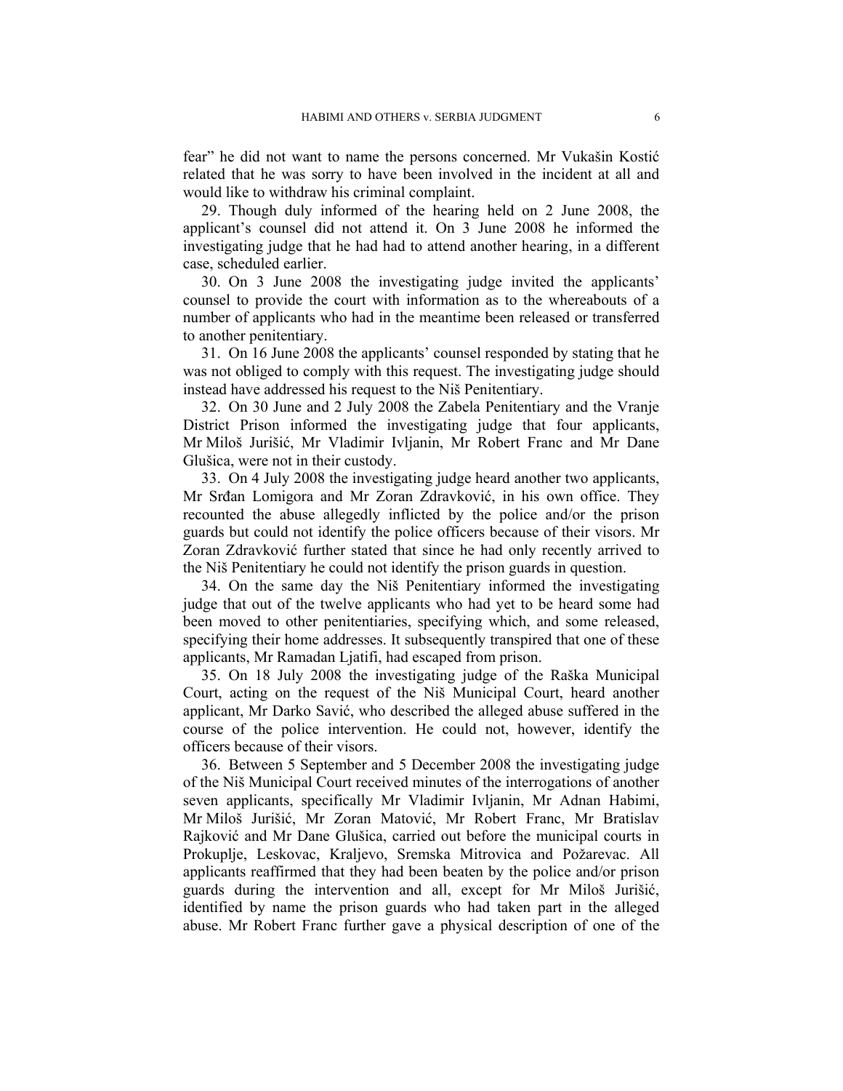fear" he did not want to name the persons concerned. Mr Vukašin Kostić related that he was sorry to have been involved in the incident at all and would like to withdraw his criminal complaint.

29. Though duly informed of the hearing held on 2 June 2008, the applicant's counsel did not attend it. On 3 June 2008 he informed the investigating judge that he had had to attend another hearing, in a different case, scheduled earlier.

30. On 3 June 2008 the investigating judge invited the applicants' counsel to provide the court with information as to the whereabouts of a number of applicants who had in the meantime been released or transferred to another penitentiary.

31. On 16 June 2008 the applicants' counsel responded by stating that he was not obliged to comply with this request. The investigating judge should instead have addressed his request to the Niš Penitentiary.

32. On 30 June and 2 July 2008 the Zabela Penitentiary and the Vranje District Prison informed the investigating judge that four applicants, Mr Miloš Jurišić, Mr Vladimir Ivljanin, Mr Robert Franc and Mr Dane Glušica, were not in their custody.

33. On 4 July 2008 the investigating judge heard another two applicants, Mr Srđan Lomigora and Mr Zoran Zdravković, in his own office. They recounted the abuse allegedly inflicted by the police and/or the prison guards but could not identify the police officers because of their visors. Mr Zoran Zdravković further stated that since he had only recently arrived to the Niš Penitentiary he could not identify the prison guards in question.

34. On the same day the Niš Penitentiary informed the investigating judge that out of the twelve applicants who had yet to be heard some had been moved to other penitentiaries, specifying which, and some released, specifying their home addresses. It subsequently transpired that one of these applicants, Mr Ramadan Ljatifi, had escaped from prison.

35. On 18 July 2008 the investigating judge of the Raška Municipal Court, acting on the request of the Niš Municipal Court, heard another applicant, Mr Darko Savić, who described the alleged abuse suffered in the course of the police intervention. He could not, however, identify the officers because of their visors.

36. Between 5 September and 5 December 2008 the investigating judge of the Niš Municipal Court received minutes of the interrogations of another seven applicants, specifically Mr Vladimir Ivljanin, Mr Adnan Habimi, Mr Miloš Jurišić, Mr Zoran Matović, Mr Robert Franc, Mr Bratislav Rajković and Mr Dane Glušica, carried out before the municipal courts in Prokuplje, Leskovac, Kraljevo, Sremska Mitrovica and Požarevac. All applicants reaffirmed that they had been beaten by the police and/or prison guards during the intervention and all, except for Mr Miloš Jurišić, identified by name the prison guards who had taken part in the alleged abuse. Mr Robert Franc further gave a physical description of one of the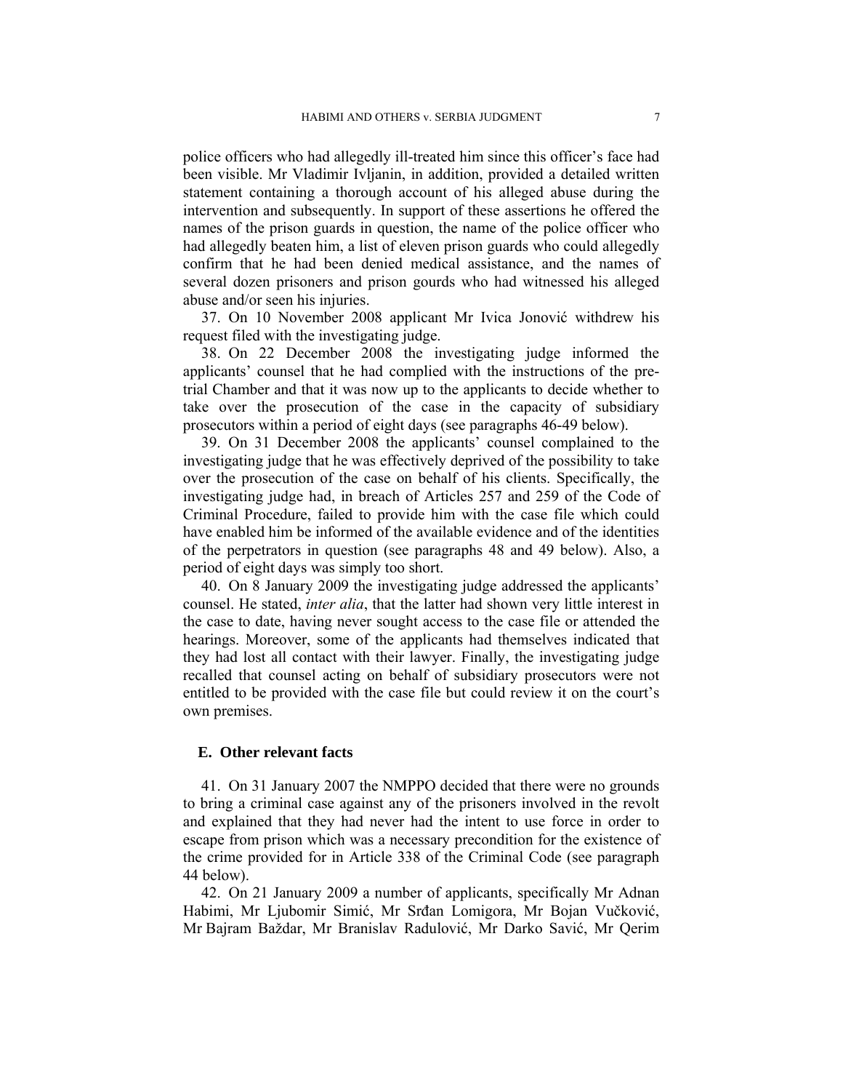police officers who had allegedly ill-treated him since this officer's face had been visible. Mr Vladimir Ivljanin, in addition, provided a detailed written statement containing a thorough account of his alleged abuse during the intervention and subsequently. In support of these assertions he offered the names of the prison guards in question, the name of the police officer who had allegedly beaten him, a list of eleven prison guards who could allegedly confirm that he had been denied medical assistance, and the names of several dozen prisoners and prison gourds who had witnessed his alleged abuse and/or seen his injuries.

37. On 10 November 2008 applicant Mr Ivica Jonović withdrew his request filed with the investigating judge.

38. On 22 December 2008 the investigating judge informed the applicants' counsel that he had complied with the instructions of the pretrial Chamber and that it was now up to the applicants to decide whether to take over the prosecution of the case in the capacity of subsidiary prosecutors within a period of eight days (see paragraphs 46-49 below).

39. On 31 December 2008 the applicants' counsel complained to the investigating judge that he was effectively deprived of the possibility to take over the prosecution of the case on behalf of his clients. Specifically, the investigating judge had, in breach of Articles 257 and 259 of the Code of Criminal Procedure, failed to provide him with the case file which could have enabled him be informed of the available evidence and of the identities of the perpetrators in question (see paragraphs 48 and 49 below). Also, a period of eight days was simply too short.

40. On 8 January 2009 the investigating judge addressed the applicants' counsel. He stated, *inter alia*, that the latter had shown very little interest in the case to date, having never sought access to the case file or attended the hearings. Moreover, some of the applicants had themselves indicated that they had lost all contact with their lawyer. Finally, the investigating judge recalled that counsel acting on behalf of subsidiary prosecutors were not entitled to be provided with the case file but could review it on the court's own premises.

#### **E. Other relevant facts**

41. On 31 January 2007 the NMPPO decided that there were no grounds to bring a criminal case against any of the prisoners involved in the revolt and explained that they had never had the intent to use force in order to escape from prison which was a necessary precondition for the existence of the crime provided for in Article 338 of the Criminal Code (see paragraph 44 below).

42. On 21 January 2009 a number of applicants, specifically Mr Adnan Habimi, Mr Ljubomir Simić, Mr Srđan Lomigora, Mr Bojan Vučković, Mr Bajram Baždar, Mr Branislav Radulović, Mr Darko Savić, Mr Qerim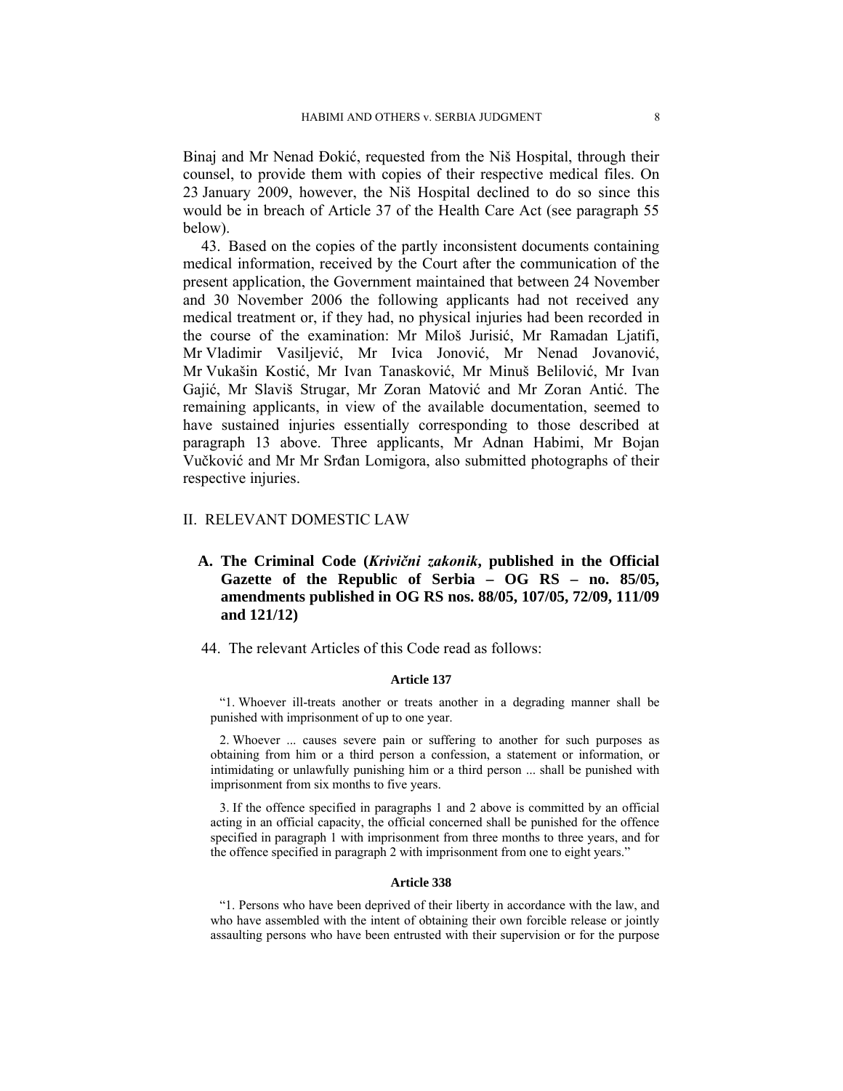Binaj and Mr Nenad Đokić, requested from the Niš Hospital, through their counsel, to provide them with copies of their respective medical files. On 23 January 2009, however, the Niš Hospital declined to do so since this would be in breach of Article 37 of the Health Care Act (see paragraph 55 below).

43. Based on the copies of the partly inconsistent documents containing medical information, received by the Court after the communication of the present application, the Government maintained that between 24 November and 30 November 2006 the following applicants had not received any medical treatment or, if they had, no physical injuries had been recorded in the course of the examination: Mr Miloš Jurisić, Mr Ramadan Ljatifi, Mr Vladimir Vasiljević, Mr Ivica Jonović, Mr Nenad Jovanović, Mr Vukašin Kostić, Mr Ivan Tanasković, Mr Minuš Belilović, Mr Ivan Gajić, Mr Slaviš Strugar, Mr Zoran Matović and Mr Zoran Antić. The remaining applicants, in view of the available documentation, seemed to have sustained injuries essentially corresponding to those described at paragraph 13 above. Three applicants, Mr Adnan Habimi, Mr Bojan Vučković and Mr Mr Srđan Lomigora, also submitted photographs of their respective injuries.

#### II. RELEVANT DOMESTIC LAW

- **A. The Criminal Code (***Krivični zakonik***, published in the Official Gazette of the Republic of Serbia – OG RS – no. 85/05, amendments published in OG RS nos. 88/05, 107/05, 72/09, 111/09 and 121/12)**
- 44. The relevant Articles of this Code read as follows:

#### **Article 137**

"1. Whoever ill-treats another or treats another in a degrading manner shall be punished with imprisonment of up to one year.

2. Whoever ... causes severe pain or suffering to another for such purposes as obtaining from him or a third person a confession, a statement or information, or intimidating or unlawfully punishing him or a third person ... shall be punished with imprisonment from six months to five years.

3. If the offence specified in paragraphs 1 and 2 above is committed by an official acting in an official capacity, the official concerned shall be punished for the offence specified in paragraph 1 with imprisonment from three months to three years, and for the offence specified in paragraph 2 with imprisonment from one to eight years."

#### **Article 338**

"1. Persons who have been deprived of their liberty in accordance with the law, and who have assembled with the intent of obtaining their own forcible release or jointly assaulting persons who have been entrusted with their supervision or for the purpose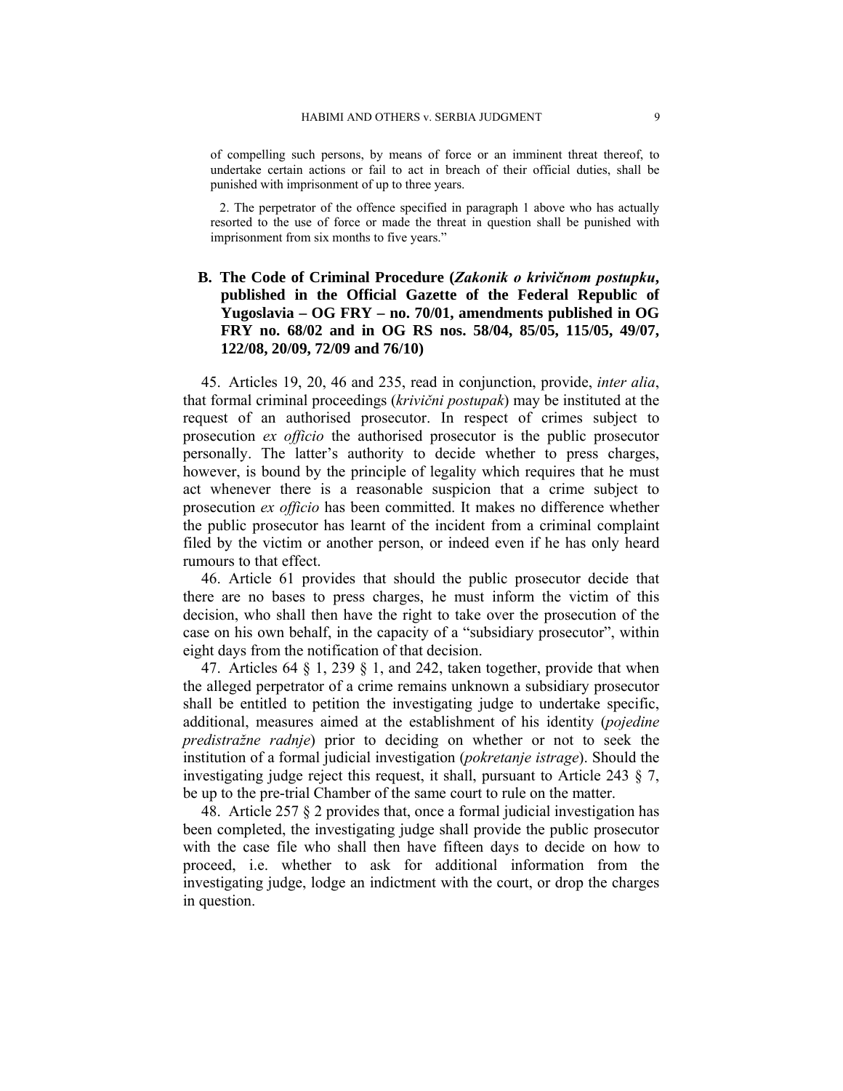of compelling such persons, by means of force or an imminent threat thereof, to undertake certain actions or fail to act in breach of their official duties, shall be punished with imprisonment of up to three years.

2. The perpetrator of the offence specified in paragraph 1 above who has actually resorted to the use of force or made the threat in question shall be punished with imprisonment from six months to five years."

# **B. The Code of Criminal Procedure (***Zakonik o krivičnom postupku***, published in the Official Gazette of the Federal Republic of Yugoslavia – OG FRY – no. 70/01, amendments published in OG FRY no. 68/02 and in OG RS nos. 58/04, 85/05, 115/05, 49/07, 122/08, 20/09, 72/09 and 76/10)**

45. Articles 19, 20, 46 and 235, read in conjunction, provide, *inter alia*, that formal criminal proceedings (*krivični postupak*) may be instituted at the request of an authorised prosecutor. In respect of crimes subject to prosecution *ex officio* the authorised prosecutor is the public prosecutor personally. The latter's authority to decide whether to press charges, however, is bound by the principle of legality which requires that he must act whenever there is a reasonable suspicion that a crime subject to prosecution *ex officio* has been committed. It makes no difference whether the public prosecutor has learnt of the incident from a criminal complaint filed by the victim or another person, or indeed even if he has only heard rumours to that effect.

46. Article 61 provides that should the public prosecutor decide that there are no bases to press charges, he must inform the victim of this decision, who shall then have the right to take over the prosecution of the case on his own behalf, in the capacity of a "subsidiary prosecutor", within eight days from the notification of that decision.

47. Articles 64  $\S$  1, 239  $\S$  1, and 242, taken together, provide that when the alleged perpetrator of a crime remains unknown a subsidiary prosecutor shall be entitled to petition the investigating judge to undertake specific, additional, measures aimed at the establishment of his identity (*pojedine predistražne radnje*) prior to deciding on whether or not to seek the institution of a formal judicial investigation (*pokretanje istrage*). Should the investigating judge reject this request, it shall, pursuant to Article 243 § 7, be up to the pre-trial Chamber of the same court to rule on the matter.

48. Article 257 § 2 provides that, once a formal judicial investigation has been completed, the investigating judge shall provide the public prosecutor with the case file who shall then have fifteen days to decide on how to proceed, i.e. whether to ask for additional information from the investigating judge, lodge an indictment with the court, or drop the charges in question.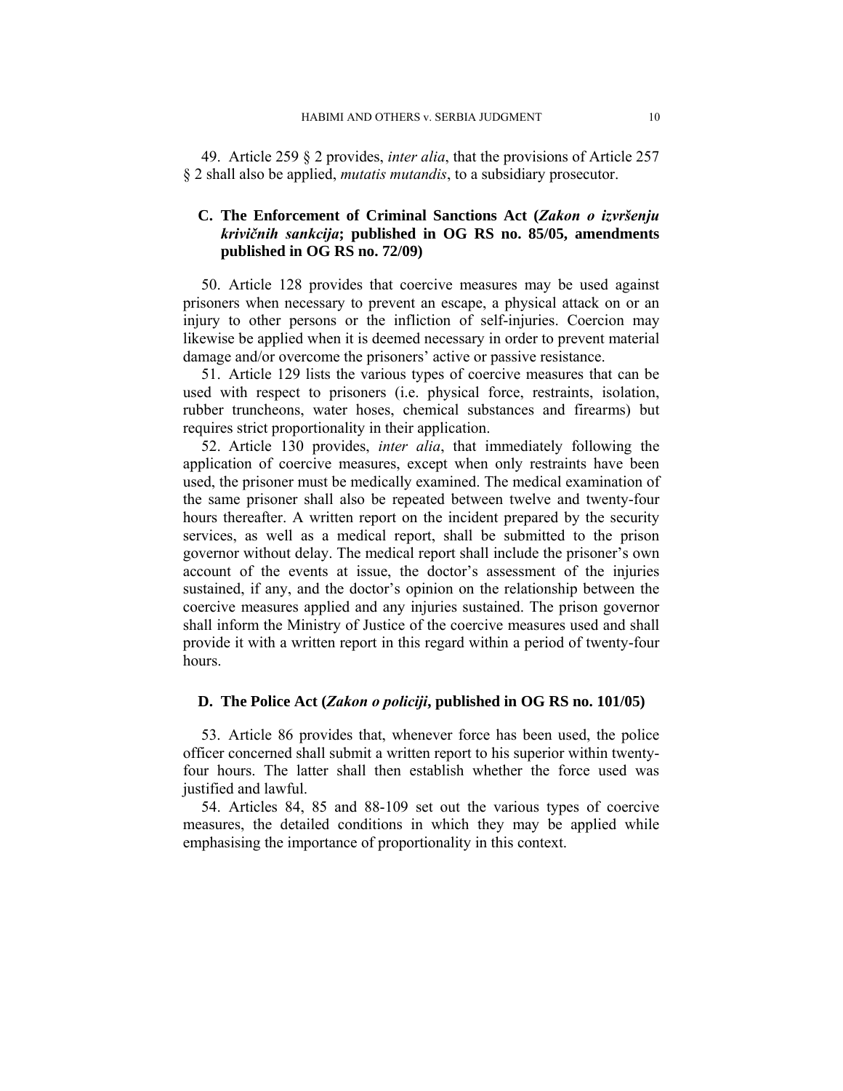49. Article 259 § 2 provides, *inter alia*, that the provisions of Article 257 § 2 shall also be applied, *mutatis mutandis*, to a subsidiary prosecutor.

# **C. The Enforcement of Criminal Sanctions Act (***Zakon o izvršenju krivičnih sankcija***; published in OG RS no. 85/05, amendments published in OG RS no. 72/09)**

50. Article 128 provides that coercive measures may be used against prisoners when necessary to prevent an escape, a physical attack on or an injury to other persons or the infliction of self-injuries. Coercion may likewise be applied when it is deemed necessary in order to prevent material damage and/or overcome the prisoners' active or passive resistance.

51. Article 129 lists the various types of coercive measures that can be used with respect to prisoners (i.e. physical force, restraints, isolation, rubber truncheons, water hoses, chemical substances and firearms) but requires strict proportionality in their application.

52. Article 130 provides, *inter alia*, that immediately following the application of coercive measures, except when only restraints have been used, the prisoner must be medically examined. The medical examination of the same prisoner shall also be repeated between twelve and twenty-four hours thereafter. A written report on the incident prepared by the security services, as well as a medical report, shall be submitted to the prison governor without delay. The medical report shall include the prisoner's own account of the events at issue, the doctor's assessment of the injuries sustained, if any, and the doctor's opinion on the relationship between the coercive measures applied and any injuries sustained. The prison governor shall inform the Ministry of Justice of the coercive measures used and shall provide it with a written report in this regard within a period of twenty-four hours.

### **D. The Police Act (***Zakon o policiji***, published in OG RS no. 101/05)**

53. Article 86 provides that, whenever force has been used, the police officer concerned shall submit a written report to his superior within twentyfour hours. The latter shall then establish whether the force used was justified and lawful.

54. Articles 84, 85 and 88-109 set out the various types of coercive measures, the detailed conditions in which they may be applied while emphasising the importance of proportionality in this context.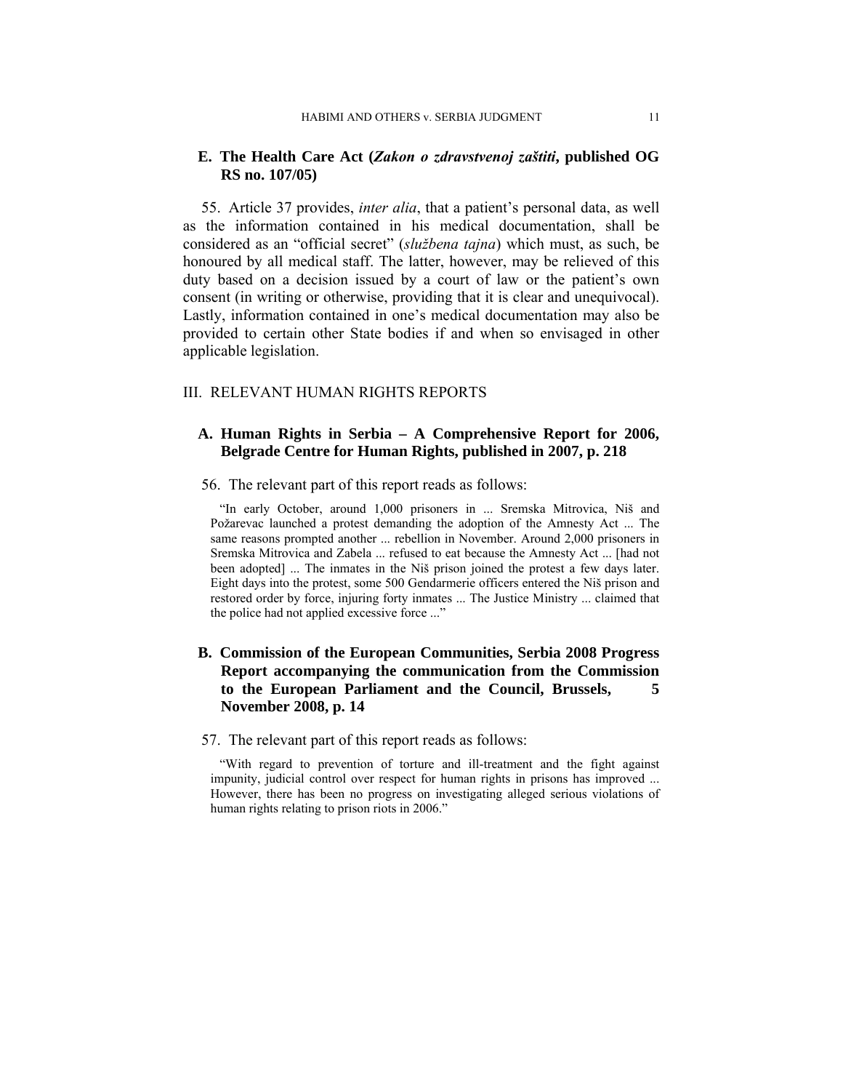## **E. The Health Care Act (***Zakon o zdravstvenoj zaštiti***, published OG RS no. 107/05)**

55. Article 37 provides, *inter alia*, that a patient's personal data, as well as the information contained in his medical documentation, shall be considered as an "official secret" (*službena tajna*) which must, as such, be honoured by all medical staff. The latter, however, may be relieved of this duty based on a decision issued by a court of law or the patient's own consent (in writing or otherwise, providing that it is clear and unequivocal). Lastly, information contained in one's medical documentation may also be provided to certain other State bodies if and when so envisaged in other applicable legislation.

#### III. RELEVANT HUMAN RIGHTS REPORTS

# **A. Human Rights in Serbia – A Comprehensive Report for 2006, Belgrade Centre for Human Rights, published in 2007, p. 218**

### 56. The relevant part of this report reads as follows:

"In early October, around 1,000 prisoners in ... Sremska Mitrovica, Niš and Požarevac launched a protest demanding the adoption of the Amnesty Act ... The same reasons prompted another ... rebellion in November. Around 2,000 prisoners in Sremska Mitrovica and Zabela ... refused to eat because the Amnesty Act ... [had not been adopted] ... The inmates in the Niš prison joined the protest a few days later. Eight days into the protest, some 500 Gendarmerie officers entered the Niš prison and restored order by force, injuring forty inmates ... The Justice Ministry ... claimed that the police had not applied excessive force ..."

# **B. Commission of the European Communities, Serbia 2008 Progress Report accompanying the communication from the Commission to the European Parliament and the Council, Brussels, 5 November 2008, p. 14**

#### 57. The relevant part of this report reads as follows:

"With regard to prevention of torture and ill-treatment and the fight against impunity, judicial control over respect for human rights in prisons has improved ... However, there has been no progress on investigating alleged serious violations of human rights relating to prison riots in 2006."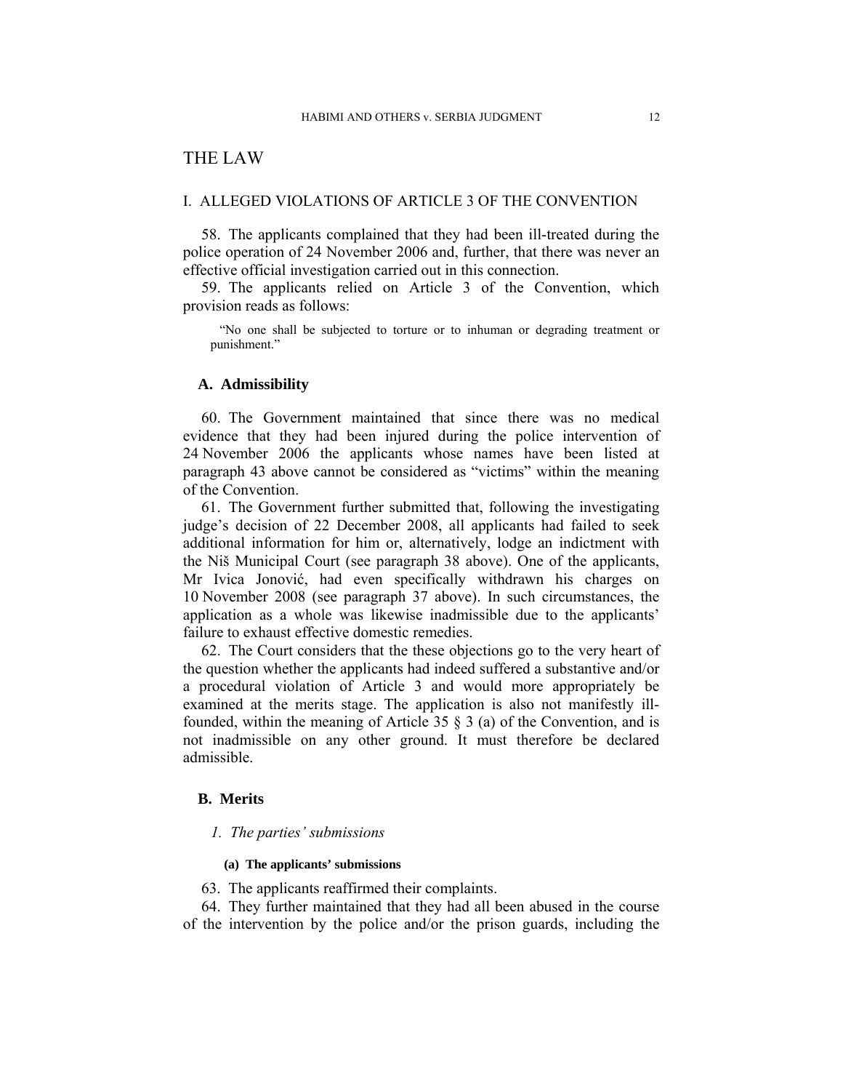# THE LAW

#### I. ALLEGED VIOLATIONS OF ARTICLE 3 OF THE CONVENTION

58. The applicants complained that they had been ill-treated during the police operation of 24 November 2006 and, further, that there was never an effective official investigation carried out in this connection.

59. The applicants relied on Article 3 of the Convention, which provision reads as follows:

"No one shall be subjected to torture or to inhuman or degrading treatment or punishment."

#### **A. Admissibility**

60. The Government maintained that since there was no medical evidence that they had been injured during the police intervention of 24 November 2006 the applicants whose names have been listed at paragraph 43 above cannot be considered as "victims" within the meaning of the Convention.

61. The Government further submitted that, following the investigating judge's decision of 22 December 2008, all applicants had failed to seek additional information for him or, alternatively, lodge an indictment with the Niš Municipal Court (see paragraph 38 above). One of the applicants, Mr Ivica Jonović, had even specifically withdrawn his charges on 10 November 2008 (see paragraph 37 above). In such circumstances, the application as a whole was likewise inadmissible due to the applicants' failure to exhaust effective domestic remedies.

62. The Court considers that the these objections go to the very heart of the question whether the applicants had indeed suffered a substantive and/or a procedural violation of Article 3 and would more appropriately be examined at the merits stage. The application is also not manifestly illfounded, within the meaning of Article 35 § 3 (a) of the Convention, and is not inadmissible on any other ground. It must therefore be declared admissible.

# **B. Merits**

#### *1. The parties' submissions*

#### **(a) The applicants' submissions**

63. The applicants reaffirmed their complaints.

64. They further maintained that they had all been abused in the course of the intervention by the police and/or the prison guards, including the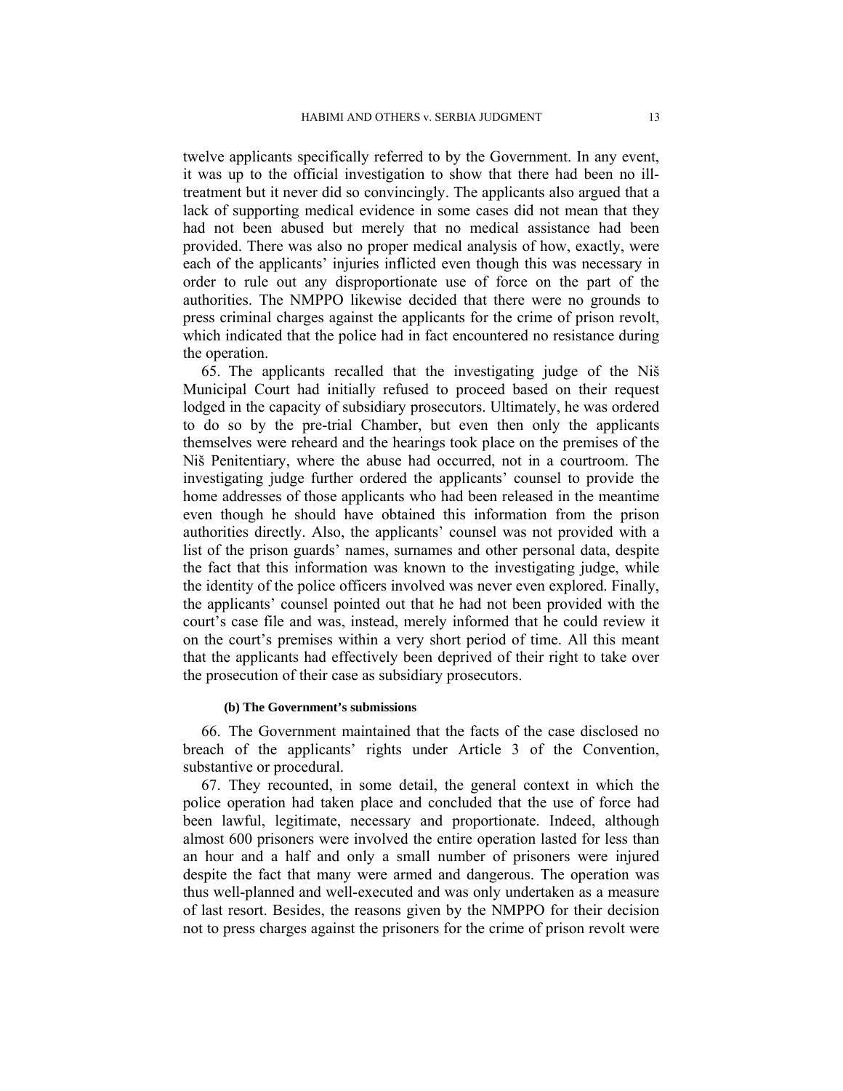twelve applicants specifically referred to by the Government. In any event, it was up to the official investigation to show that there had been no illtreatment but it never did so convincingly. The applicants also argued that a lack of supporting medical evidence in some cases did not mean that they had not been abused but merely that no medical assistance had been provided. There was also no proper medical analysis of how, exactly, were each of the applicants' injuries inflicted even though this was necessary in order to rule out any disproportionate use of force on the part of the authorities. The NMPPO likewise decided that there were no grounds to press criminal charges against the applicants for the crime of prison revolt, which indicated that the police had in fact encountered no resistance during the operation.

65. The applicants recalled that the investigating judge of the Niš Municipal Court had initially refused to proceed based on their request lodged in the capacity of subsidiary prosecutors. Ultimately, he was ordered to do so by the pre-trial Chamber, but even then only the applicants themselves were reheard and the hearings took place on the premises of the Niš Penitentiary, where the abuse had occurred, not in a courtroom. The investigating judge further ordered the applicants' counsel to provide the home addresses of those applicants who had been released in the meantime even though he should have obtained this information from the prison authorities directly. Also, the applicants' counsel was not provided with a list of the prison guards' names, surnames and other personal data, despite the fact that this information was known to the investigating judge, while the identity of the police officers involved was never even explored. Finally, the applicants' counsel pointed out that he had not been provided with the court's case file and was, instead, merely informed that he could review it on the court's premises within a very short period of time. All this meant that the applicants had effectively been deprived of their right to take over the prosecution of their case as subsidiary prosecutors.

#### **(b) The Government's submissions**

66. The Government maintained that the facts of the case disclosed no breach of the applicants' rights under Article 3 of the Convention, substantive or procedural.

67. They recounted, in some detail, the general context in which the police operation had taken place and concluded that the use of force had been lawful, legitimate, necessary and proportionate. Indeed, although almost 600 prisoners were involved the entire operation lasted for less than an hour and a half and only a small number of prisoners were injured despite the fact that many were armed and dangerous. The operation was thus well-planned and well-executed and was only undertaken as a measure of last resort. Besides, the reasons given by the NMPPO for their decision not to press charges against the prisoners for the crime of prison revolt were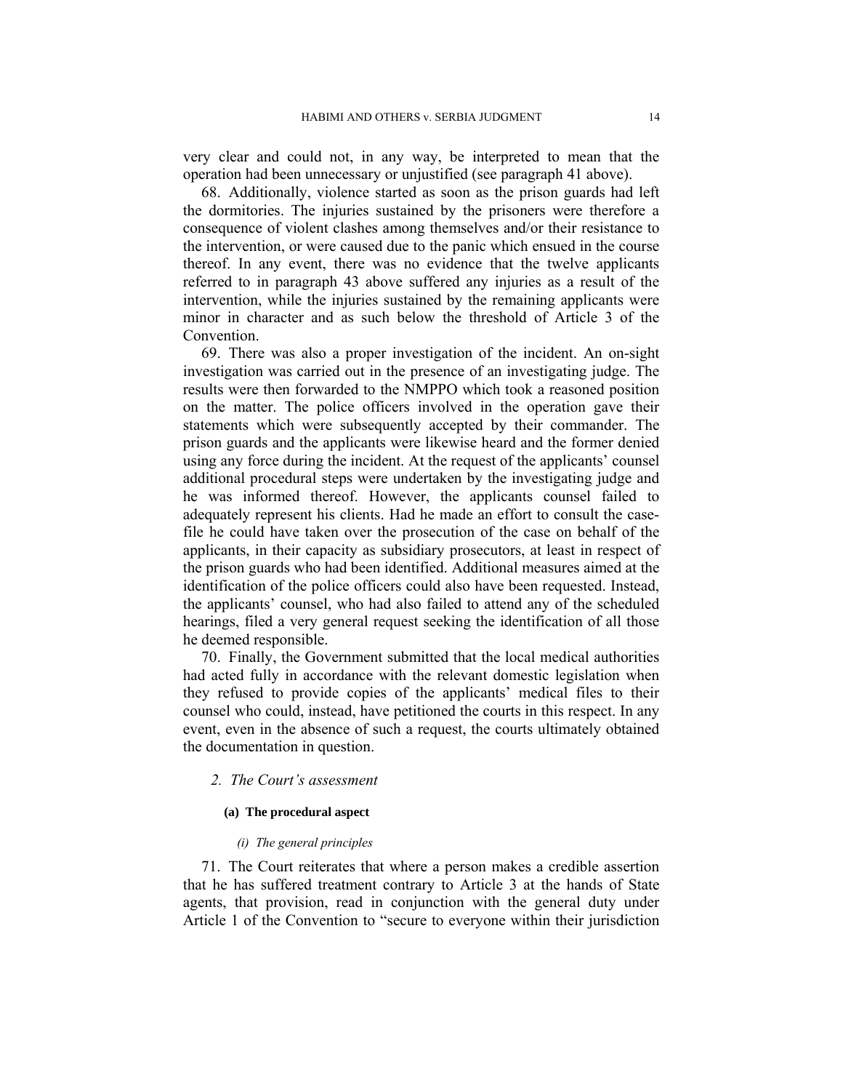very clear and could not, in any way, be interpreted to mean that the operation had been unnecessary or unjustified (see paragraph 41 above).

68. Additionally, violence started as soon as the prison guards had left the dormitories. The injuries sustained by the prisoners were therefore a consequence of violent clashes among themselves and/or their resistance to the intervention, or were caused due to the panic which ensued in the course thereof. In any event, there was no evidence that the twelve applicants referred to in paragraph 43 above suffered any injuries as a result of the intervention, while the injuries sustained by the remaining applicants were minor in character and as such below the threshold of Article 3 of the Convention.

69. There was also a proper investigation of the incident. An on-sight investigation was carried out in the presence of an investigating judge. The results were then forwarded to the NMPPO which took a reasoned position on the matter. The police officers involved in the operation gave their statements which were subsequently accepted by their commander. The prison guards and the applicants were likewise heard and the former denied using any force during the incident. At the request of the applicants' counsel additional procedural steps were undertaken by the investigating judge and he was informed thereof. However, the applicants counsel failed to adequately represent his clients. Had he made an effort to consult the casefile he could have taken over the prosecution of the case on behalf of the applicants, in their capacity as subsidiary prosecutors, at least in respect of the prison guards who had been identified. Additional measures aimed at the identification of the police officers could also have been requested. Instead, the applicants' counsel, who had also failed to attend any of the scheduled hearings, filed a very general request seeking the identification of all those he deemed responsible.

70. Finally, the Government submitted that the local medical authorities had acted fully in accordance with the relevant domestic legislation when they refused to provide copies of the applicants' medical files to their counsel who could, instead, have petitioned the courts in this respect. In any event, even in the absence of such a request, the courts ultimately obtained the documentation in question.

# *2. The Court's assessment*

# **(a) The procedural aspect**

#### *(i) The general principles*

71. The Court reiterates that where a person makes a credible assertion that he has suffered treatment contrary to Article 3 at the hands of State agents, that provision, read in conjunction with the general duty under Article 1 of the Convention to "secure to everyone within their jurisdiction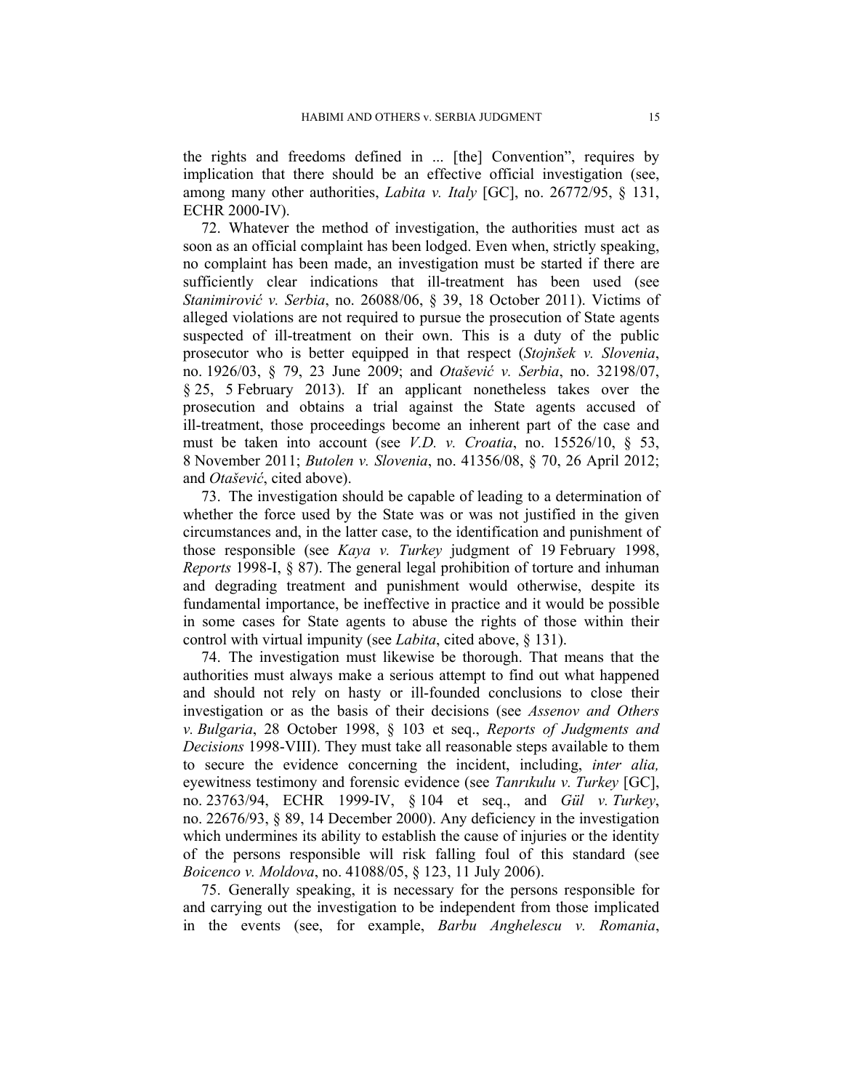the rights and freedoms defined in ... [the] Convention", requires by implication that there should be an effective official investigation (see, among many other authorities, *Labita v. Italy* [GC], no. 26772/95, § 131, ECHR 2000-IV).

72. Whatever the method of investigation, the authorities must act as soon as an official complaint has been lodged. Even when, strictly speaking, no complaint has been made, an investigation must be started if there are sufficiently clear indications that ill-treatment has been used (see *Stanimirović v. Serbia*, no. 26088/06, § 39, 18 October 2011). Victims of alleged violations are not required to pursue the prosecution of State agents suspected of ill-treatment on their own. This is a duty of the public prosecutor who is better equipped in that respect (*Stojnšek v. Slovenia*, no. 1926/03, § 79, 23 June 2009; and *Otašević v. Serbia*, no. 32198/07, § 25, 5 February 2013). If an applicant nonetheless takes over the prosecution and obtains a trial against the State agents accused of ill-treatment, those proceedings become an inherent part of the case and must be taken into account (see *V.D. v. Croatia*, no. 15526/10, § 53, 8 November 2011; *Butolen v. Slovenia*, no. 41356/08, § 70, 26 April 2012; and *Otašević*, cited above).

73. The investigation should be capable of leading to a determination of whether the force used by the State was or was not justified in the given circumstances and, in the latter case, to the identification and punishment of those responsible (see *Kaya v. Turkey* judgment of 19 February 1998, *Reports* 1998-I, § 87). The general legal prohibition of torture and inhuman and degrading treatment and punishment would otherwise, despite its fundamental importance, be ineffective in practice and it would be possible in some cases for State agents to abuse the rights of those within their control with virtual impunity (see *Labita*, cited above, § 131).

74. The investigation must likewise be thorough. That means that the authorities must always make a serious attempt to find out what happened and should not rely on hasty or ill-founded conclusions to close their investigation or as the basis of their decisions (see *Assenov and Others v. Bulgaria*, 28 October 1998, § 103 et seq., *Reports of Judgments and Decisions* 1998-VIII). They must take all reasonable steps available to them to secure the evidence concerning the incident, including, *inter alia,* eyewitness testimony and forensic evidence (see *Tanrıkulu v. Turkey* [GC], no. 23763/94, ECHR 1999-IV, § 104 et seq., and *Gül v. Turkey*, no. 22676/93, § 89, 14 December 2000). Any deficiency in the investigation which undermines its ability to establish the cause of injuries or the identity of the persons responsible will risk falling foul of this standard (see *Boicenco v. Moldova*, no. 41088/05, § 123, 11 July 2006).

75. Generally speaking, it is necessary for the persons responsible for and carrying out the investigation to be independent from those implicated in the events (see, for example, *Barbu Anghelescu v. Romania*,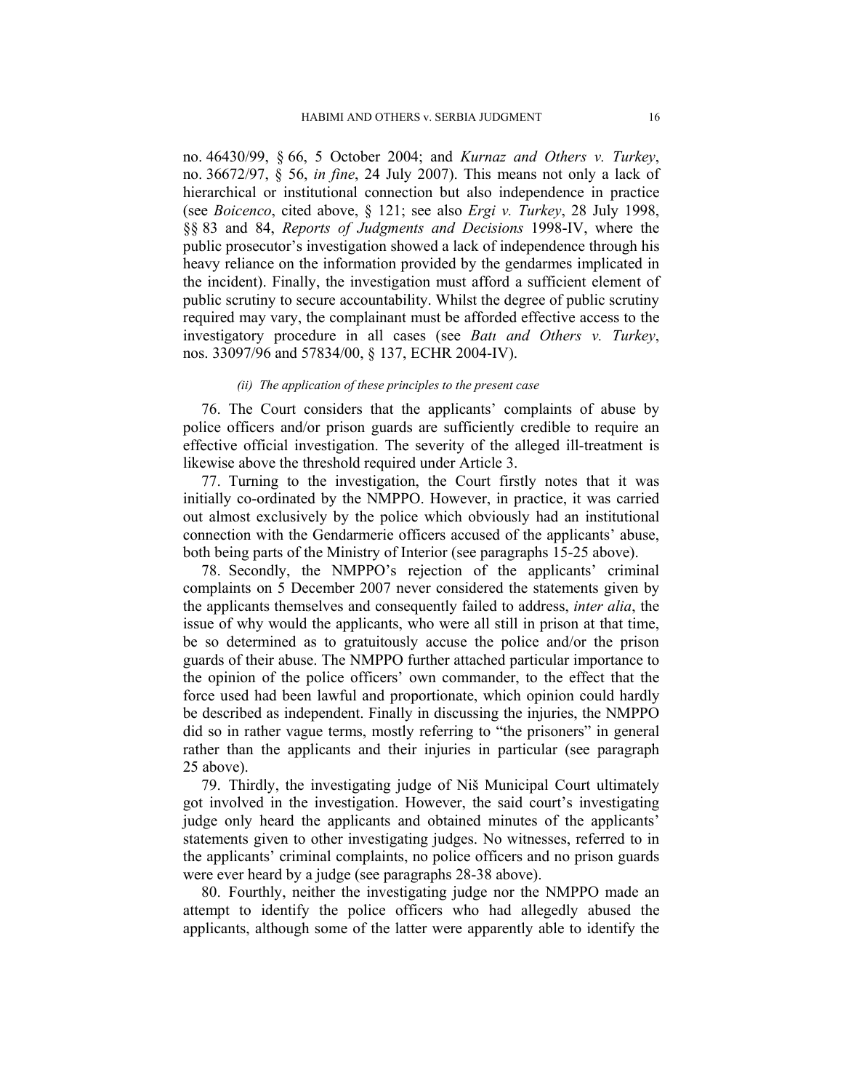no. 46430/99, § 66, 5 October 2004; and *Kurnaz and Others v. Turkey*, no. 36672/97, § 56, *in fine*, 24 July 2007). This means not only a lack of hierarchical or institutional connection but also independence in practice (see *Boicenco*, cited above, § 121; see also *Ergi v. Turkey*, 28 July 1998, §§ 83 and 84, *Reports of Judgments and Decisions* 1998-IV, where the public prosecutor's investigation showed a lack of independence through his heavy reliance on the information provided by the gendarmes implicated in the incident). Finally, the investigation must afford a sufficient element of public scrutiny to secure accountability. Whilst the degree of public scrutiny required may vary, the complainant must be afforded effective access to the investigatory procedure in all cases (see *Batı and Others v. Turkey*, nos. 33097/96 and 57834/00, § 137, ECHR 2004-IV).

#### *(ii) The application of these principles to the present case*

76. The Court considers that the applicants' complaints of abuse by police officers and/or prison guards are sufficiently credible to require an effective official investigation. The severity of the alleged ill-treatment is likewise above the threshold required under Article 3.

77. Turning to the investigation, the Court firstly notes that it was initially co-ordinated by the NMPPO. However, in practice, it was carried out almost exclusively by the police which obviously had an institutional connection with the Gendarmerie officers accused of the applicants' abuse, both being parts of the Ministry of Interior (see paragraphs 15-25 above).

78. Secondly, the NMPPO's rejection of the applicants' criminal complaints on 5 December 2007 never considered the statements given by the applicants themselves and consequently failed to address, *inter alia*, the issue of why would the applicants, who were all still in prison at that time, be so determined as to gratuitously accuse the police and/or the prison guards of their abuse. The NMPPO further attached particular importance to the opinion of the police officers' own commander, to the effect that the force used had been lawful and proportionate, which opinion could hardly be described as independent. Finally in discussing the injuries, the NMPPO did so in rather vague terms, mostly referring to "the prisoners" in general rather than the applicants and their injuries in particular (see paragraph 25 above).

79. Thirdly, the investigating judge of Niš Municipal Court ultimately got involved in the investigation. However, the said court's investigating judge only heard the applicants and obtained minutes of the applicants' statements given to other investigating judges. No witnesses, referred to in the applicants' criminal complaints, no police officers and no prison guards were ever heard by a judge (see paragraphs 28-38 above).

80. Fourthly, neither the investigating judge nor the NMPPO made an attempt to identify the police officers who had allegedly abused the applicants, although some of the latter were apparently able to identify the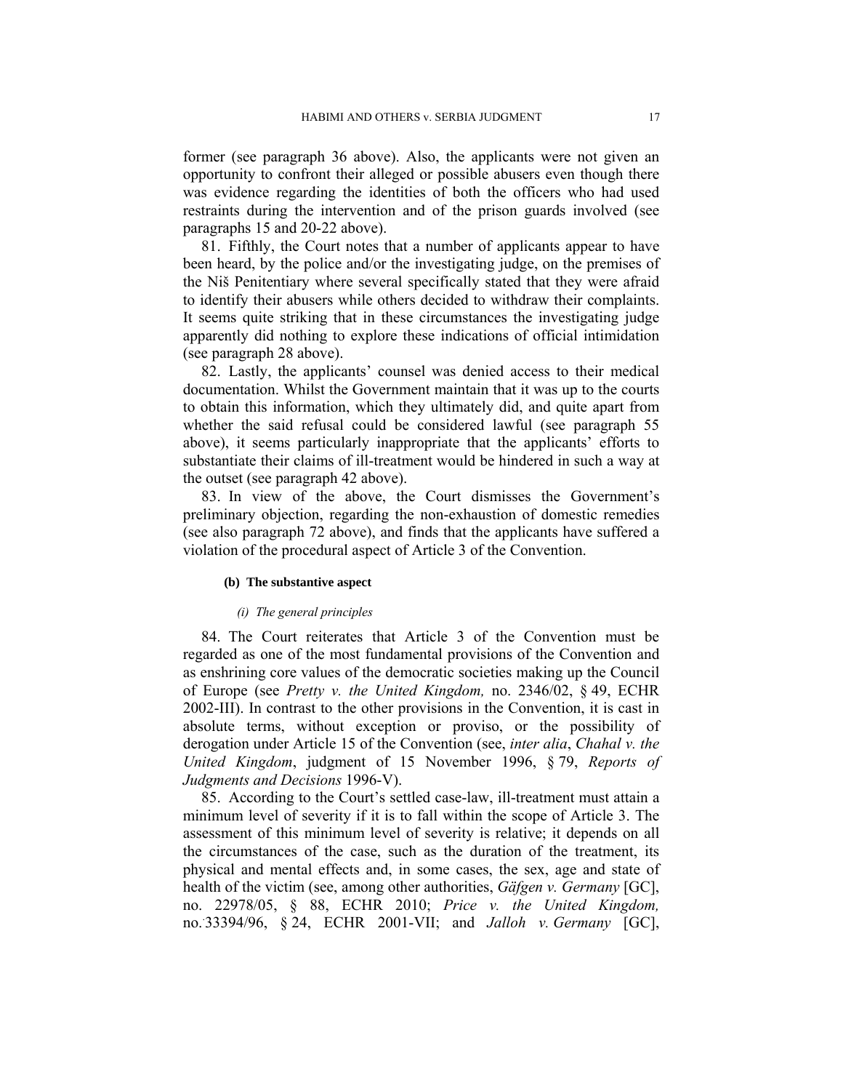former (see paragraph 36 above). Also, the applicants were not given an opportunity to confront their alleged or possible abusers even though there was evidence regarding the identities of both the officers who had used restraints during the intervention and of the prison guards involved (see paragraphs 15 and 20-22 above).

81. Fifthly, the Court notes that a number of applicants appear to have been heard, by the police and/or the investigating judge, on the premises of the Niš Penitentiary where several specifically stated that they were afraid to identify their abusers while others decided to withdraw their complaints. It seems quite striking that in these circumstances the investigating judge apparently did nothing to explore these indications of official intimidation (see paragraph 28 above).

82. Lastly, the applicants' counsel was denied access to their medical documentation. Whilst the Government maintain that it was up to the courts to obtain this information, which they ultimately did, and quite apart from whether the said refusal could be considered lawful (see paragraph 55 above), it seems particularly inappropriate that the applicants' efforts to substantiate their claims of ill-treatment would be hindered in such a way at the outset (see paragraph 42 above).

83. In view of the above, the Court dismisses the Government's preliminary objection, regarding the non-exhaustion of domestic remedies (see also paragraph 72 above), and finds that the applicants have suffered a violation of the procedural aspect of Article 3 of the Convention.

### **(b) The substantive aspect**

#### *(i) The general principles*

84. The Court reiterates that Article 3 of the Convention must be regarded as one of the most fundamental provisions of the Convention and as enshrining core values of the democratic societies making up the Council of Europe (see *Pretty v. the United Kingdom,* no. 2346/02, § 49, ECHR 2002-III). In contrast to the other provisions in the Convention, it is cast in absolute terms, without exception or proviso, or the possibility of derogation under Article 15 of the Convention (see, *inter alia*, *Chahal v. the United Kingdom*, judgment of 15 November 1996, § 79, *Reports of Judgments and Decisions* 1996-V).

85. According to the Court's settled case-law, ill-treatment must attain a minimum level of severity if it is to fall within the scope of Article 3. The assessment of this minimum level of severity is relative; it depends on all the circumstances of the case, such as the duration of the treatment, its physical and mental effects and, in some cases, the sex, age and state of health of the victim (see, among other authorities, *Gäfgen v. Germany* [GC], no. 22978/05, § 88, ECHR 2010; *Price v. the United Kingdom,*  no.. 33394/96, § 24, ECHR 2001-VII; and *Jalloh v. Germany* [GC],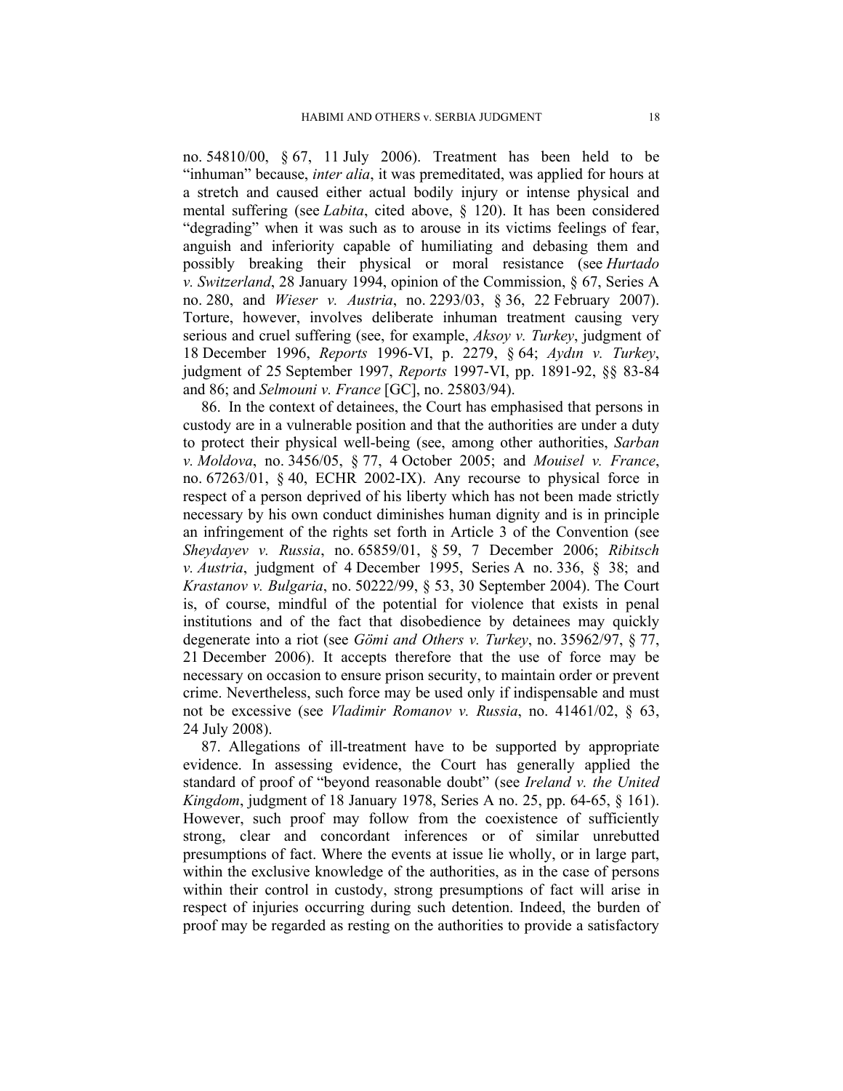no. 54810/00, § 67, 11 July 2006). Treatment has been held to be "inhuman" because, *inter alia*, it was premeditated, was applied for hours at a stretch and caused either actual bodily injury or intense physical and mental suffering (see *Labita*, cited above, § 120). It has been considered "degrading" when it was such as to arouse in its victims feelings of fear, anguish and inferiority capable of humiliating and debasing them and possibly breaking their physical or moral resistance (see *Hurtado v. Switzerland*, 28 January 1994, opinion of the Commission, § 67, Series A no. 280, and *Wieser v. Austria*, no. 2293/03, § 36, 22 February 2007). Torture, however, involves deliberate inhuman treatment causing very serious and cruel suffering (see, for example, *Aksoy v. Turkey*, judgment of 18 December 1996, *Reports* 1996-VI, p. 2279, § 64; *Aydın v. Turkey*, judgment of 25 September 1997, *Reports* 1997-VI, pp. 1891-92, §§ 83-84 and 86; and *Selmouni v. France* [GC], no. 25803/94).

86. In the context of detainees, the Court has emphasised that persons in custody are in a vulnerable position and that the authorities are under a duty to protect their physical well-being (see, among other authorities, *Sarban v. Moldova*, no. 3456/05, § 77, 4 October 2005; and *Mouisel v. France*, no. 67263/01, § 40, ECHR 2002-IX). Any recourse to physical force in respect of a person deprived of his liberty which has not been made strictly necessary by his own conduct diminishes human dignity and is in principle an infringement of the rights set forth in Article 3 of the Convention (see *Sheydayev v. Russia*, no. 65859/01, § 59, 7 December 2006; *Ribitsch v. Austria*, judgment of 4 December 1995, Series A no. 336, § 38; and *Krastanov v. Bulgaria*, no. 50222/99, § 53, 30 September 2004). The Court is, of course, mindful of the potential for violence that exists in penal institutions and of the fact that disobedience by detainees may quickly degenerate into a riot (see *Gömi and Others v. Turkey*, no. 35962/97, § 77, 21 December 2006). It accepts therefore that the use of force may be necessary on occasion to ensure prison security, to maintain order or prevent crime. Nevertheless, such force may be used only if indispensable and must not be excessive (see *Vladimir Romanov v. Russia*, no. 41461/02, § 63, 24 July 2008).

87. Allegations of ill-treatment have to be supported by appropriate evidence. In assessing evidence, the Court has generally applied the standard of proof of "beyond reasonable doubt" (see *Ireland v. the United Kingdom*, judgment of 18 January 1978, Series A no. 25, pp. 64-65, § 161). However, such proof may follow from the coexistence of sufficiently strong, clear and concordant inferences or of similar unrebutted presumptions of fact. Where the events at issue lie wholly, or in large part, within the exclusive knowledge of the authorities, as in the case of persons within their control in custody, strong presumptions of fact will arise in respect of injuries occurring during such detention. Indeed, the burden of proof may be regarded as resting on the authorities to provide a satisfactory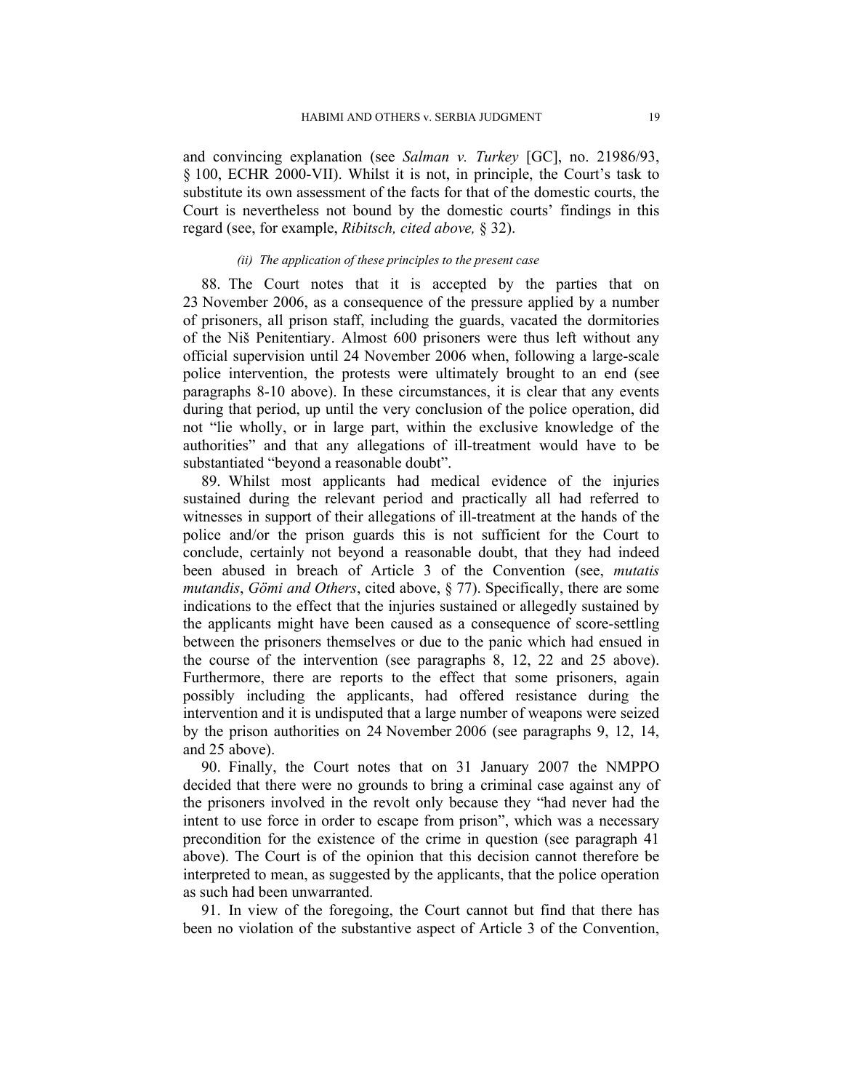and convincing explanation (see *Salman v. Turkey* [GC], no. 21986/93, § 100, ECHR 2000-VII). Whilst it is not, in principle, the Court's task to substitute its own assessment of the facts for that of the domestic courts, the Court is nevertheless not bound by the domestic courts' findings in this regard (see, for example, *Ribitsch, cited above,* § 32).

### *(ii) The application of these principles to the present case*

88. The Court notes that it is accepted by the parties that on 23 November 2006, as a consequence of the pressure applied by a number of prisoners, all prison staff, including the guards, vacated the dormitories of the Niš Penitentiary. Almost 600 prisoners were thus left without any official supervision until 24 November 2006 when, following a large-scale police intervention, the protests were ultimately brought to an end (see paragraphs 8-10 above). In these circumstances, it is clear that any events during that period, up until the very conclusion of the police operation, did not "lie wholly, or in large part, within the exclusive knowledge of the authorities" and that any allegations of ill-treatment would have to be substantiated "beyond a reasonable doubt".

89. Whilst most applicants had medical evidence of the injuries sustained during the relevant period and practically all had referred to witnesses in support of their allegations of ill-treatment at the hands of the police and/or the prison guards this is not sufficient for the Court to conclude, certainly not beyond a reasonable doubt, that they had indeed been abused in breach of Article 3 of the Convention (see, *mutatis mutandis*, *Gömi and Others*, cited above, § 77). Specifically, there are some indications to the effect that the injuries sustained or allegedly sustained by the applicants might have been caused as a consequence of score-settling between the prisoners themselves or due to the panic which had ensued in the course of the intervention (see paragraphs 8, 12, 22 and 25 above). Furthermore, there are reports to the effect that some prisoners, again possibly including the applicants, had offered resistance during the intervention and it is undisputed that a large number of weapons were seized by the prison authorities on 24 November 2006 (see paragraphs 9, 12, 14, and 25 above).

90. Finally, the Court notes that on 31 January 2007 the NMPPO decided that there were no grounds to bring a criminal case against any of the prisoners involved in the revolt only because they "had never had the intent to use force in order to escape from prison", which was a necessary precondition for the existence of the crime in question (see paragraph 41 above). The Court is of the opinion that this decision cannot therefore be interpreted to mean, as suggested by the applicants, that the police operation as such had been unwarranted.

91. In view of the foregoing, the Court cannot but find that there has been no violation of the substantive aspect of Article 3 of the Convention,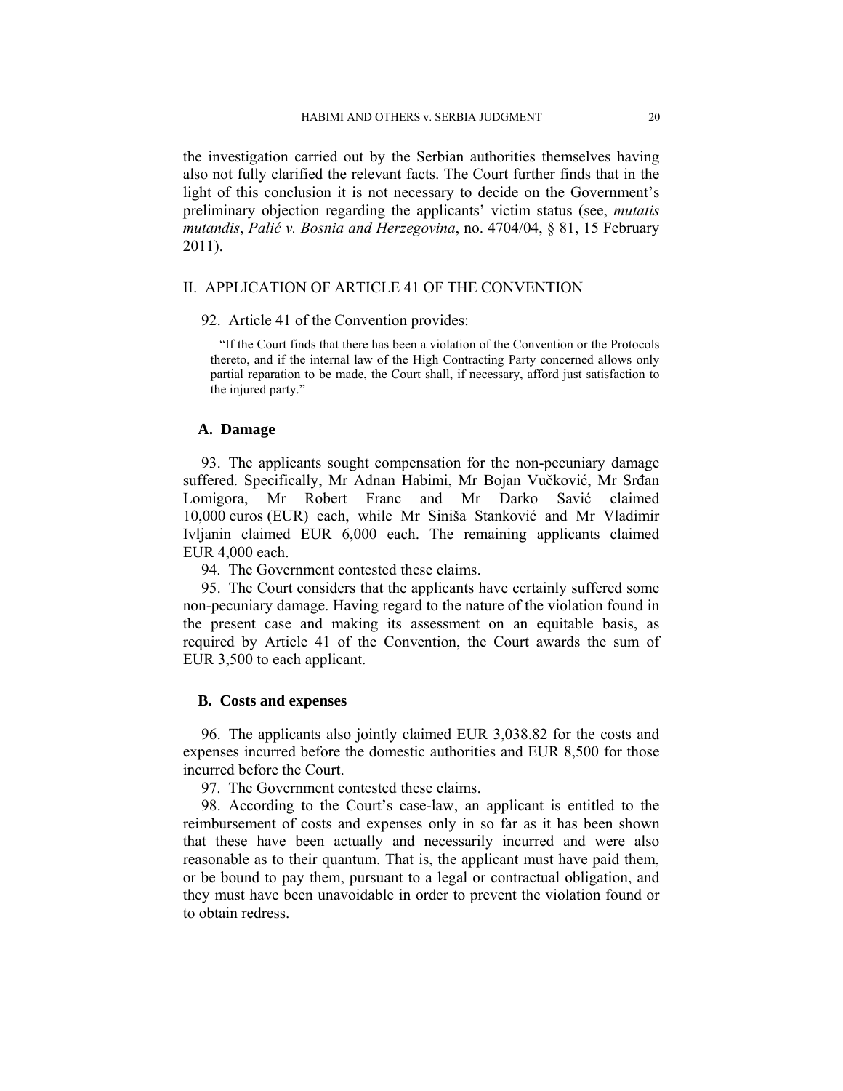the investigation carried out by the Serbian authorities themselves having also not fully clarified the relevant facts. The Court further finds that in the light of this conclusion it is not necessary to decide on the Government's preliminary objection regarding the applicants' victim status (see, *mutatis mutandis*, *Palić v. Bosnia and Herzegovina*, no. 4704/04, § 81, 15 February 2011).

# II. APPLICATION OF ARTICLE 41 OF THE CONVENTION

92. Article 41 of the Convention provides:

"If the Court finds that there has been a violation of the Convention or the Protocols thereto, and if the internal law of the High Contracting Party concerned allows only partial reparation to be made, the Court shall, if necessary, afford just satisfaction to the injured party."

#### **A. Damage**

93. The applicants sought compensation for the non-pecuniary damage suffered. Specifically, Mr Adnan Habimi, Mr Bojan Vučković, Mr Srđan Lomigora, Mr Robert Franc and Mr Darko Savić claimed 10,000 euros (EUR) each, while Mr Siniša Stanković and Mr Vladimir Ivljanin claimed EUR 6,000 each. The remaining applicants claimed EUR 4,000 each.

94. The Government contested these claims.

95. The Court considers that the applicants have certainly suffered some non-pecuniary damage. Having regard to the nature of the violation found in the present case and making its assessment on an equitable basis, as required by Article 41 of the Convention, the Court awards the sum of EUR 3,500 to each applicant.

### **B. Costs and expenses**

96. The applicants also jointly claimed EUR 3,038.82 for the costs and expenses incurred before the domestic authorities and EUR 8,500 for those incurred before the Court.

97. The Government contested these claims.

98. According to the Court's case-law, an applicant is entitled to the reimbursement of costs and expenses only in so far as it has been shown that these have been actually and necessarily incurred and were also reasonable as to their quantum. That is, the applicant must have paid them, or be bound to pay them, pursuant to a legal or contractual obligation, and they must have been unavoidable in order to prevent the violation found or to obtain redress.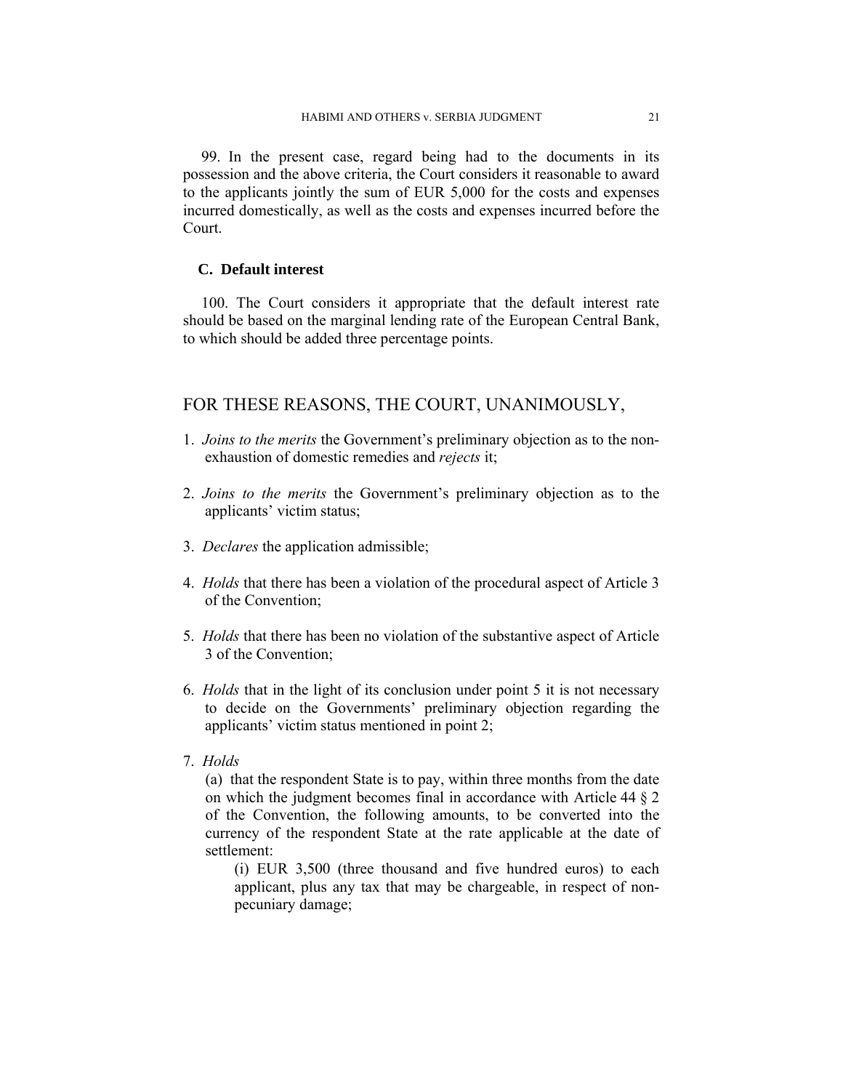99. In the present case, regard being had to the documents in its possession and the above criteria, the Court considers it reasonable to award to the applicants jointly the sum of EUR 5,000 for the costs and expenses incurred domestically, as well as the costs and expenses incurred before the Court.

# **C. Default interest**

100. The Court considers it appropriate that the default interest rate should be based on the marginal lending rate of the European Central Bank, to which should be added three percentage points.

# FOR THESE REASONS, THE COURT, UNANIMOUSLY,

- 1. *Joins to the merits* the Government's preliminary objection as to the nonexhaustion of domestic remedies and *rejects* it;
- 2. *Joins to the merits* the Government's preliminary objection as to the applicants' victim status;
- 3. *Declares* the application admissible;
- 4. *Holds* that there has been a violation of the procedural aspect of Article 3 of the Convention;
- 5. *Holds* that there has been no violation of the substantive aspect of Article 3 of the Convention;
- 6. *Holds* that in the light of its conclusion under point 5 it is not necessary to decide on the Governments' preliminary objection regarding the applicants' victim status mentioned in point 2;
- 7. *Holds*

(a) that the respondent State is to pay, within three months from the date on which the judgment becomes final in accordance with Article 44 § 2 of the Convention, the following amounts, to be converted into the currency of the respondent State at the rate applicable at the date of settlement:

(i) EUR 3,500 (three thousand and five hundred euros) to each applicant, plus any tax that may be chargeable, in respect of nonpecuniary damage;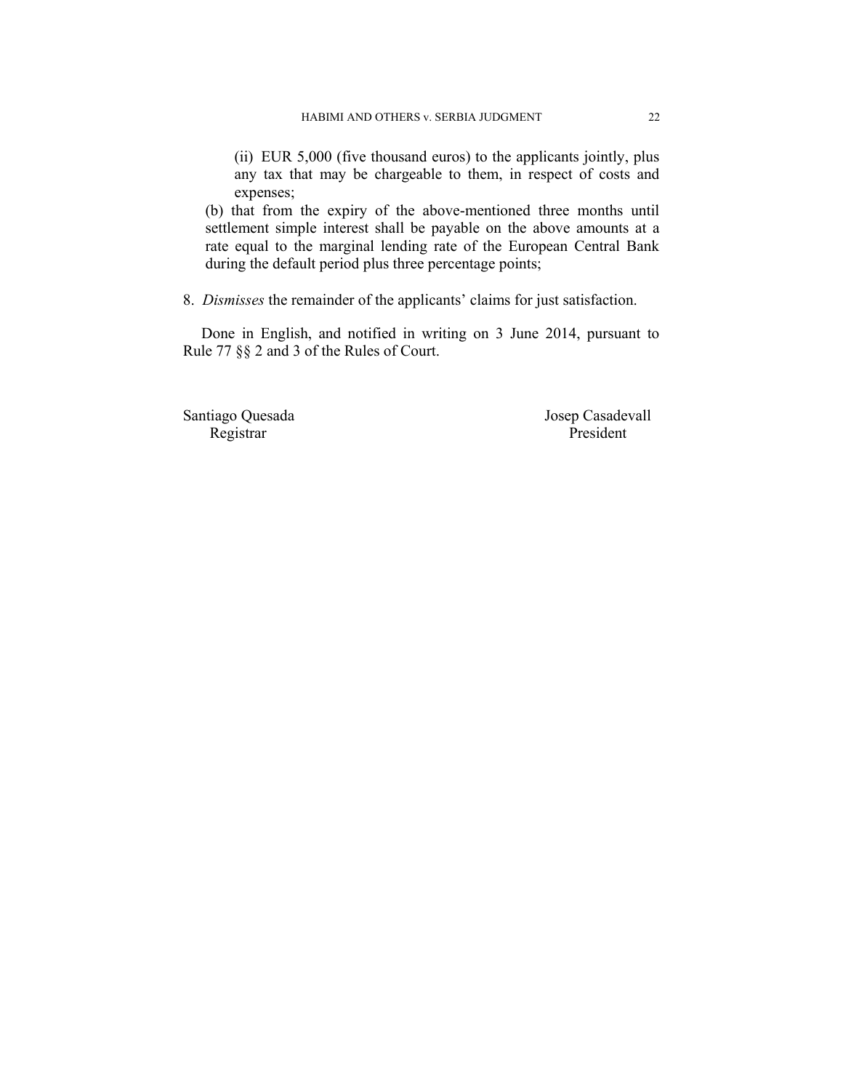(ii) EUR 5,000 (five thousand euros) to the applicants jointly, plus any tax that may be chargeable to them, in respect of costs and expenses;

(b) that from the expiry of the above-mentioned three months until settlement simple interest shall be payable on the above amounts at a rate equal to the marginal lending rate of the European Central Bank during the default period plus three percentage points;

8. *Dismisses* the remainder of the applicants' claims for just satisfaction.

Done in English, and notified in writing on 3 June 2014, pursuant to Rule 77 §§ 2 and 3 of the Rules of Court.

Santiago Quesada Josep Casadevall<br>Registrar President President Registrar